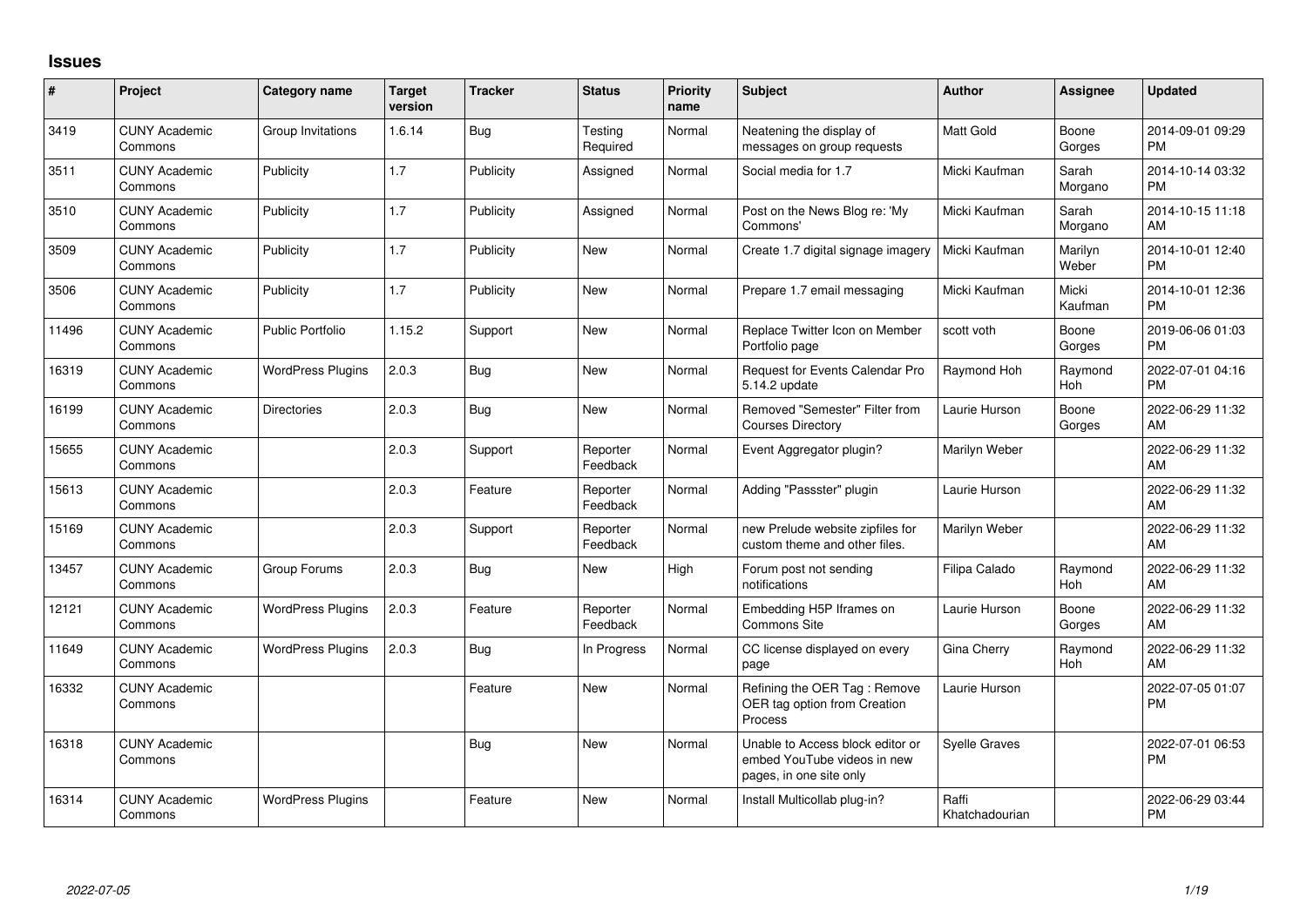## **Issues**

| #     | Project                         | <b>Category name</b>     | <b>Target</b><br>version | <b>Tracker</b> | <b>Status</b>        | <b>Priority</b><br>name | <b>Subject</b>                                                                             | <b>Author</b>           | <b>Assignee</b>       | <b>Updated</b>                |
|-------|---------------------------------|--------------------------|--------------------------|----------------|----------------------|-------------------------|--------------------------------------------------------------------------------------------|-------------------------|-----------------------|-------------------------------|
| 3419  | <b>CUNY Academic</b><br>Commons | Group Invitations        | 1.6.14                   | <b>Bug</b>     | Testing<br>Required  | Normal                  | Neatening the display of<br>messages on group requests                                     | Matt Gold               | Boone<br>Gorges       | 2014-09-01 09:29<br><b>PM</b> |
| 3511  | <b>CUNY Academic</b><br>Commons | Publicity                | 1.7                      | Publicity      | Assigned             | Normal                  | Social media for 1.7                                                                       | Micki Kaufman           | Sarah<br>Morgano      | 2014-10-14 03:32<br><b>PM</b> |
| 3510  | <b>CUNY Academic</b><br>Commons | Publicity                | 1.7                      | Publicity      | Assigned             | Normal                  | Post on the News Blog re: 'My<br>Commons'                                                  | Micki Kaufman           | Sarah<br>Morgano      | 2014-10-15 11:18<br>AM        |
| 3509  | <b>CUNY Academic</b><br>Commons | Publicity                | 1.7                      | Publicity      | New                  | Normal                  | Create 1.7 digital signage imagery                                                         | Micki Kaufman           | Marilyn<br>Weber      | 2014-10-01 12:40<br><b>PM</b> |
| 3506  | <b>CUNY Academic</b><br>Commons | Publicity                | 1.7                      | Publicity      | <b>New</b>           | Normal                  | Prepare 1.7 email messaging                                                                | Micki Kaufman           | Micki<br>Kaufman      | 2014-10-01 12:36<br><b>PM</b> |
| 11496 | <b>CUNY Academic</b><br>Commons | <b>Public Portfolio</b>  | 1.15.2                   | Support        | <b>New</b>           | Normal                  | Replace Twitter Icon on Member<br>Portfolio page                                           | scott voth              | Boone<br>Gorges       | 2019-06-06 01:03<br><b>PM</b> |
| 16319 | <b>CUNY Academic</b><br>Commons | <b>WordPress Plugins</b> | 2.0.3                    | <b>Bug</b>     | New                  | Normal                  | Request for Events Calendar Pro<br>5.14.2 update                                           | Raymond Hoh             | Raymond<br>Hoh        | 2022-07-01 04:16<br><b>PM</b> |
| 16199 | <b>CUNY Academic</b><br>Commons | <b>Directories</b>       | 2.0.3                    | Bug            | <b>New</b>           | Normal                  | Removed "Semester" Filter from<br><b>Courses Directory</b>                                 | Laurie Hurson           | Boone<br>Gorges       | 2022-06-29 11:32<br><b>AM</b> |
| 15655 | <b>CUNY Academic</b><br>Commons |                          | 2.0.3                    | Support        | Reporter<br>Feedback | Normal                  | Event Aggregator plugin?                                                                   | Marilyn Weber           |                       | 2022-06-29 11:32<br><b>AM</b> |
| 15613 | <b>CUNY Academic</b><br>Commons |                          | 2.0.3                    | Feature        | Reporter<br>Feedback | Normal                  | Adding "Passster" plugin                                                                   | Laurie Hurson           |                       | 2022-06-29 11:32<br>AM        |
| 15169 | <b>CUNY Academic</b><br>Commons |                          | 2.0.3                    | Support        | Reporter<br>Feedback | Normal                  | new Prelude website zipfiles for<br>custom theme and other files.                          | Marilyn Weber           |                       | 2022-06-29 11:32<br>AM        |
| 13457 | <b>CUNY Academic</b><br>Commons | Group Forums             | 2.0.3                    | Bug            | New                  | High                    | Forum post not sending<br>notifications                                                    | Filipa Calado           | Raymond<br>Hoh        | 2022-06-29 11:32<br>AM        |
| 12121 | <b>CUNY Academic</b><br>Commons | <b>WordPress Plugins</b> | 2.0.3                    | Feature        | Reporter<br>Feedback | Normal                  | Embedding H5P Iframes on<br>Commons Site                                                   | Laurie Hurson           | Boone<br>Gorges       | 2022-06-29 11:32<br>AM        |
| 11649 | <b>CUNY Academic</b><br>Commons | <b>WordPress Plugins</b> | 2.0.3                    | Bug            | In Progress          | Normal                  | CC license displayed on every<br>page                                                      | Gina Cherry             | Raymond<br><b>Hoh</b> | 2022-06-29 11:32<br><b>AM</b> |
| 16332 | <b>CUNY Academic</b><br>Commons |                          |                          | Feature        | New                  | Normal                  | Refining the OER Tag: Remove<br>OER tag option from Creation<br>Process                    | Laurie Hurson           |                       | 2022-07-05 01:07<br>PM.       |
| 16318 | <b>CUNY Academic</b><br>Commons |                          |                          | <b>Bug</b>     | New                  | Normal                  | Unable to Access block editor or<br>embed YouTube videos in new<br>pages, in one site only | <b>Syelle Graves</b>    |                       | 2022-07-01 06:53<br><b>PM</b> |
| 16314 | <b>CUNY Academic</b><br>Commons | <b>WordPress Plugins</b> |                          | Feature        | <b>New</b>           | Normal                  | Install Multicollab plug-in?                                                               | Raffi<br>Khatchadourian |                       | 2022-06-29 03:44<br><b>PM</b> |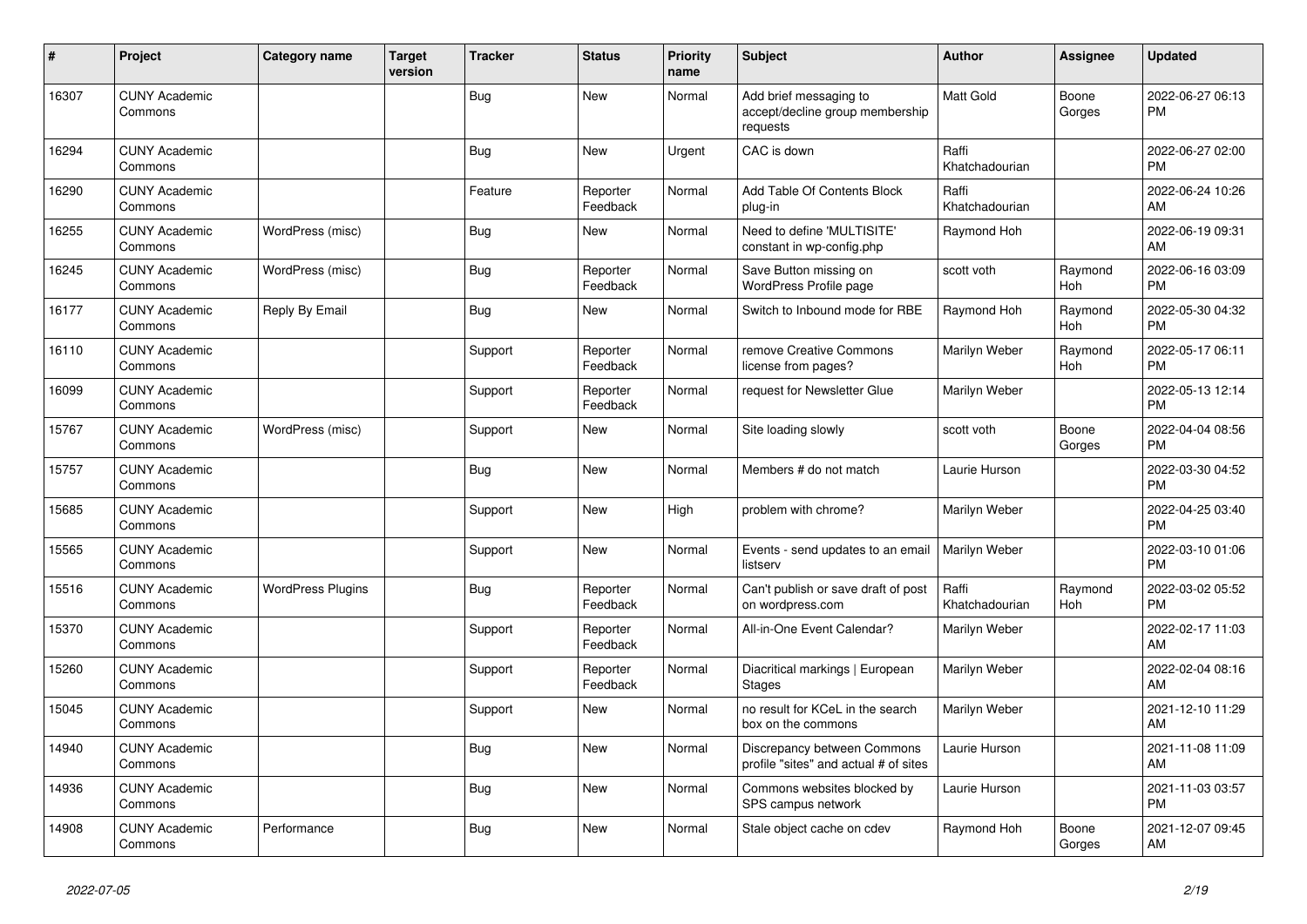| #     | Project                         | <b>Category name</b>     | <b>Target</b><br>version | <b>Tracker</b> | <b>Status</b>        | <b>Priority</b><br>name | <b>Subject</b>                                                        | <b>Author</b>           | <b>Assignee</b> | <b>Updated</b>                |
|-------|---------------------------------|--------------------------|--------------------------|----------------|----------------------|-------------------------|-----------------------------------------------------------------------|-------------------------|-----------------|-------------------------------|
| 16307 | <b>CUNY Academic</b><br>Commons |                          |                          | <b>Bug</b>     | New                  | Normal                  | Add brief messaging to<br>accept/decline group membership<br>requests | <b>Matt Gold</b>        | Boone<br>Gorges | 2022-06-27 06:13<br><b>PM</b> |
| 16294 | <b>CUNY Academic</b><br>Commons |                          |                          | Bug            | <b>New</b>           | Urgent                  | CAC is down                                                           | Raffi<br>Khatchadourian |                 | 2022-06-27 02:00<br><b>PM</b> |
| 16290 | <b>CUNY Academic</b><br>Commons |                          |                          | Feature        | Reporter<br>Feedback | Normal                  | Add Table Of Contents Block<br>plug-in                                | Raffi<br>Khatchadourian |                 | 2022-06-24 10:26<br>AM        |
| 16255 | <b>CUNY Academic</b><br>Commons | WordPress (misc)         |                          | <b>Bug</b>     | New                  | Normal                  | Need to define 'MULTISITE'<br>constant in wp-config.php               | Raymond Hoh             |                 | 2022-06-19 09:31<br>AM        |
| 16245 | <b>CUNY Academic</b><br>Commons | WordPress (misc)         |                          | <b>Bug</b>     | Reporter<br>Feedback | Normal                  | Save Button missing on<br>WordPress Profile page                      | scott voth              | Raymond<br>Hoh  | 2022-06-16 03:09<br><b>PM</b> |
| 16177 | <b>CUNY Academic</b><br>Commons | Reply By Email           |                          | <b>Bug</b>     | <b>New</b>           | Normal                  | Switch to Inbound mode for RBE                                        | Raymond Hoh             | Raymond<br>Hoh  | 2022-05-30 04:32<br><b>PM</b> |
| 16110 | <b>CUNY Academic</b><br>Commons |                          |                          | Support        | Reporter<br>Feedback | Normal                  | remove Creative Commons<br>license from pages?                        | Marilyn Weber           | Raymond<br>Hoh  | 2022-05-17 06:11<br><b>PM</b> |
| 16099 | <b>CUNY Academic</b><br>Commons |                          |                          | Support        | Reporter<br>Feedback | Normal                  | request for Newsletter Glue                                           | Marilyn Weber           |                 | 2022-05-13 12:14<br><b>PM</b> |
| 15767 | <b>CUNY Academic</b><br>Commons | WordPress (misc)         |                          | Support        | <b>New</b>           | Normal                  | Site loading slowly                                                   | scott voth              | Boone<br>Gorges | 2022-04-04 08:56<br><b>PM</b> |
| 15757 | <b>CUNY Academic</b><br>Commons |                          |                          | Bug            | New                  | Normal                  | Members # do not match                                                | Laurie Hurson           |                 | 2022-03-30 04:52<br><b>PM</b> |
| 15685 | <b>CUNY Academic</b><br>Commons |                          |                          | Support        | New                  | High                    | problem with chrome?                                                  | Marilyn Weber           |                 | 2022-04-25 03:40<br><b>PM</b> |
| 15565 | <b>CUNY Academic</b><br>Commons |                          |                          | Support        | <b>New</b>           | Normal                  | Events - send updates to an email<br>listserv                         | Marilyn Weber           |                 | 2022-03-10 01:06<br><b>PM</b> |
| 15516 | <b>CUNY Academic</b><br>Commons | <b>WordPress Plugins</b> |                          | <b>Bug</b>     | Reporter<br>Feedback | Normal                  | Can't publish or save draft of post<br>on wordpress.com               | Raffi<br>Khatchadourian | Raymond<br>Hoh  | 2022-03-02 05:52<br><b>PM</b> |
| 15370 | <b>CUNY Academic</b><br>Commons |                          |                          | Support        | Reporter<br>Feedback | Normal                  | All-in-One Event Calendar?                                            | Marilyn Weber           |                 | 2022-02-17 11:03<br>AM        |
| 15260 | <b>CUNY Academic</b><br>Commons |                          |                          | Support        | Reporter<br>Feedback | Normal                  | Diacritical markings   European<br><b>Stages</b>                      | Marilyn Weber           |                 | 2022-02-04 08:16<br>AM        |
| 15045 | <b>CUNY Academic</b><br>Commons |                          |                          | Support        | <b>New</b>           | Normal                  | no result for KCeL in the search<br>box on the commons                | <b>Marilyn Weber</b>    |                 | 2021-12-10 11:29<br>AM        |
| 14940 | <b>CUNY Academic</b><br>Commons |                          |                          | Bug            | <b>New</b>           | Normal                  | Discrepancy between Commons<br>profile "sites" and actual # of sites  | Laurie Hurson           |                 | 2021-11-08 11:09<br>AM        |
| 14936 | <b>CUNY Academic</b><br>Commons |                          |                          | <b>Bug</b>     | New                  | Normal                  | Commons websites blocked by<br>SPS campus network                     | Laurie Hurson           |                 | 2021-11-03 03:57<br><b>PM</b> |
| 14908 | <b>CUNY Academic</b><br>Commons | Performance              |                          | Bug            | <b>New</b>           | Normal                  | Stale object cache on cdev                                            | Raymond Hoh             | Boone<br>Gorges | 2021-12-07 09:45<br>AM        |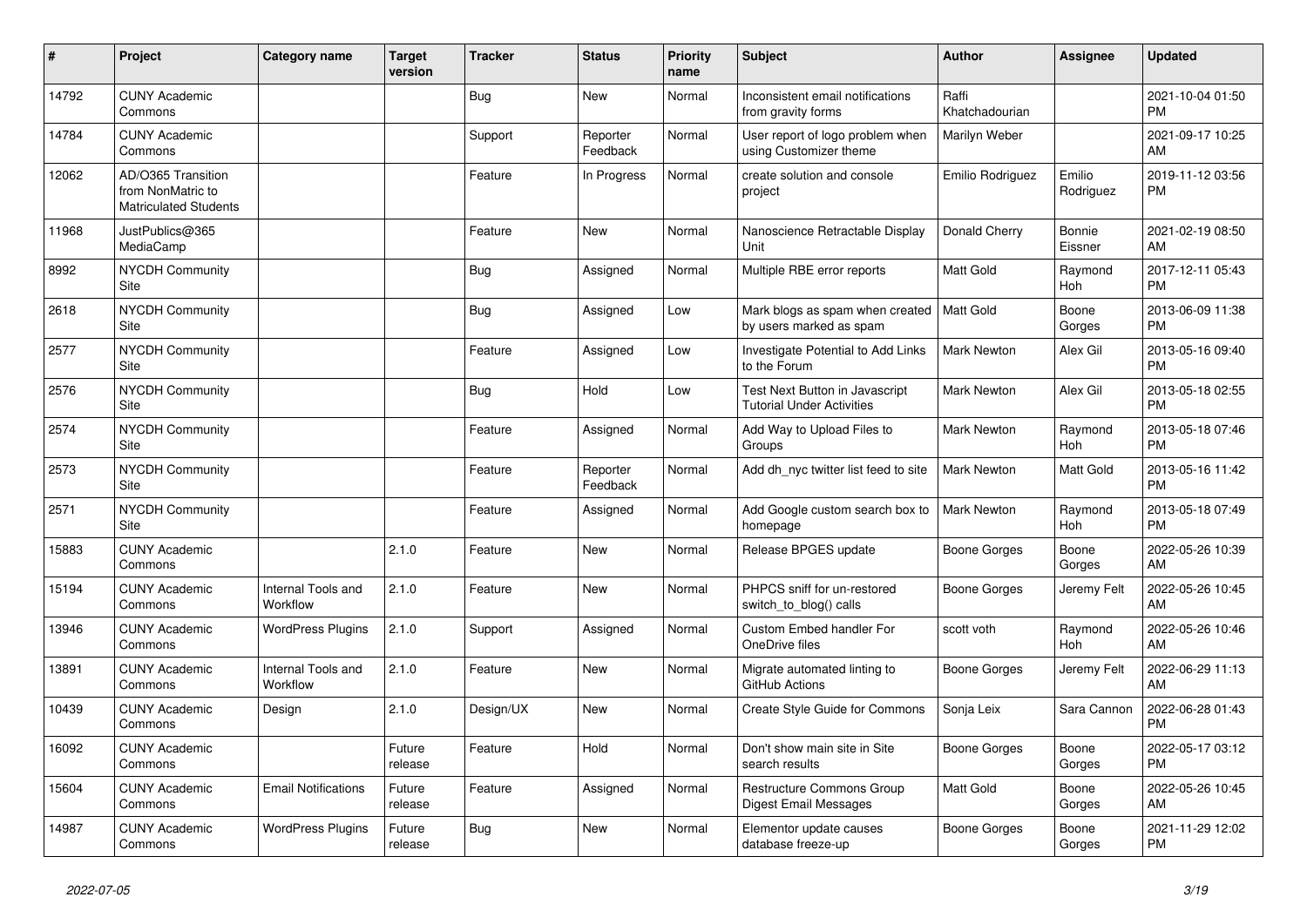| ∦     | Project                                                                 | <b>Category name</b>           | <b>Target</b><br>version | <b>Tracker</b> | <b>Status</b>        | <b>Priority</b><br>name | <b>Subject</b>                                                     | <b>Author</b>           | Assignee            | <b>Updated</b>                |
|-------|-------------------------------------------------------------------------|--------------------------------|--------------------------|----------------|----------------------|-------------------------|--------------------------------------------------------------------|-------------------------|---------------------|-------------------------------|
| 14792 | <b>CUNY Academic</b><br>Commons                                         |                                |                          | Bug            | New                  | Normal                  | Inconsistent email notifications<br>from gravity forms             | Raffi<br>Khatchadourian |                     | 2021-10-04 01:50<br><b>PM</b> |
| 14784 | <b>CUNY Academic</b><br>Commons                                         |                                |                          | Support        | Reporter<br>Feedback | Normal                  | User report of logo problem when<br>using Customizer theme         | Marilyn Weber           |                     | 2021-09-17 10:25<br>AM        |
| 12062 | AD/O365 Transition<br>from NonMatric to<br><b>Matriculated Students</b> |                                |                          | Feature        | In Progress          | Normal                  | create solution and console<br>project                             | Emilio Rodriguez        | Emilio<br>Rodriguez | 2019-11-12 03:56<br><b>PM</b> |
| 11968 | JustPublics@365<br>MediaCamp                                            |                                |                          | Feature        | New                  | Normal                  | Nanoscience Retractable Display<br><b>Unit</b>                     | Donald Cherry           | Bonnie<br>Eissner   | 2021-02-19 08:50<br>AM        |
| 8992  | <b>NYCDH Community</b><br>Site                                          |                                |                          | Bug            | Assigned             | Normal                  | Multiple RBE error reports                                         | <b>Matt Gold</b>        | Raymond<br>Hoh      | 2017-12-11 05:43<br><b>PM</b> |
| 2618  | <b>NYCDH Community</b><br>Site                                          |                                |                          | <b>Bug</b>     | Assigned             | Low                     | Mark blogs as spam when created<br>by users marked as spam         | <b>Matt Gold</b>        | Boone<br>Gorges     | 2013-06-09 11:38<br><b>PM</b> |
| 2577  | NYCDH Community<br>Site                                                 |                                |                          | Feature        | Assigned             | Low                     | Investigate Potential to Add Links<br>to the Forum                 | Mark Newton             | Alex Gil            | 2013-05-16 09:40<br><b>PM</b> |
| 2576  | NYCDH Community<br>Site                                                 |                                |                          | Bug            | Hold                 | Low                     | Test Next Button in Javascript<br><b>Tutorial Under Activities</b> | Mark Newton             | Alex Gil            | 2013-05-18 02:55<br><b>PM</b> |
| 2574  | <b>NYCDH Community</b><br>Site                                          |                                |                          | Feature        | Assigned             | Normal                  | Add Way to Upload Files to<br>Groups                               | <b>Mark Newton</b>      | Raymond<br>Hoh      | 2013-05-18 07:46<br><b>PM</b> |
| 2573  | <b>NYCDH Community</b><br>Site                                          |                                |                          | Feature        | Reporter<br>Feedback | Normal                  | Add dh nyc twitter list feed to site                               | <b>Mark Newton</b>      | Matt Gold           | 2013-05-16 11:42<br><b>PM</b> |
| 2571  | <b>NYCDH Community</b><br>Site                                          |                                |                          | Feature        | Assigned             | Normal                  | Add Google custom search box to<br>homepage                        | Mark Newton             | Raymond<br>Hoh      | 2013-05-18 07:49<br><b>PM</b> |
| 15883 | <b>CUNY Academic</b><br>Commons                                         |                                | 2.1.0                    | Feature        | <b>New</b>           | Normal                  | Release BPGES update                                               | Boone Gorges            | Boone<br>Gorges     | 2022-05-26 10:39<br>AM        |
| 15194 | <b>CUNY Academic</b><br>Commons                                         | Internal Tools and<br>Workflow | 2.1.0                    | Feature        | <b>New</b>           | Normal                  | PHPCS sniff for un-restored<br>switch_to_blog() calls              | Boone Gorges            | Jeremy Felt         | 2022-05-26 10:45<br>AM        |
| 13946 | <b>CUNY Academic</b><br>Commons                                         | <b>WordPress Plugins</b>       | 2.1.0                    | Support        | Assigned             | Normal                  | <b>Custom Embed handler For</b><br>OneDrive files                  | scott voth              | Raymond<br>Hoh      | 2022-05-26 10:46<br>AM        |
| 13891 | <b>CUNY Academic</b><br>Commons                                         | Internal Tools and<br>Workflow | 2.1.0                    | Feature        | New                  | Normal                  | Migrate automated linting to<br>GitHub Actions                     | Boone Gorges            | Jeremy Felt         | 2022-06-29 11:13<br><b>AM</b> |
| 10439 | <b>CUNY Academic</b><br>Commons                                         | Design                         | 2.1.0                    | Design/UX      | <b>New</b>           | Normal                  | <b>Create Style Guide for Commons</b>                              | Sonja Leix              | Sara Cannon         | 2022-06-28 01:43<br><b>PM</b> |
| 16092 | <b>CUNY Academic</b><br>Commons                                         |                                | Future<br>release        | Feature        | Hold                 | Normal                  | Don't show main site in Site<br>search results                     | Boone Gorges            | Boone<br>Gorges     | 2022-05-17 03:12<br><b>PM</b> |
| 15604 | <b>CUNY Academic</b><br>Commons                                         | <b>Email Notifications</b>     | Future<br>release        | Feature        | Assigned             | Normal                  | <b>Restructure Commons Group</b><br>Digest Email Messages          | <b>Matt Gold</b>        | Boone<br>Gorges     | 2022-05-26 10:45<br>AM        |
| 14987 | <b>CUNY Academic</b><br>Commons                                         | <b>WordPress Plugins</b>       | Future<br>release        | <b>Bug</b>     | <b>New</b>           | Normal                  | Elementor update causes<br>database freeze-up                      | Boone Gorges            | Boone<br>Gorges     | 2021-11-29 12:02<br><b>PM</b> |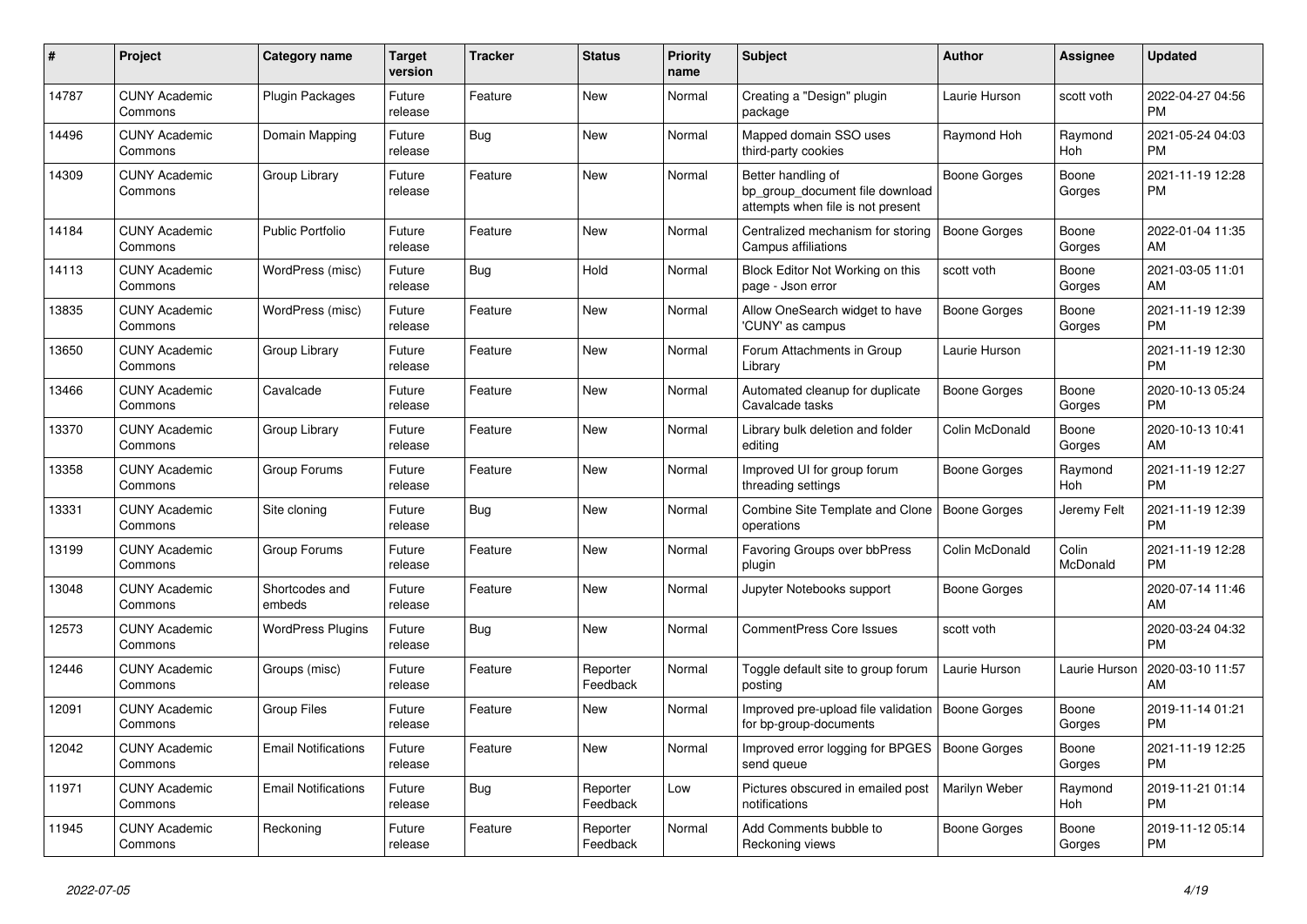| #     | <b>Project</b>                  | <b>Category name</b>       | Target<br>version | <b>Tracker</b> | <b>Status</b>        | <b>Priority</b><br>name | <b>Subject</b>                                                                             | <b>Author</b>       | Assignee          | <b>Updated</b>                |
|-------|---------------------------------|----------------------------|-------------------|----------------|----------------------|-------------------------|--------------------------------------------------------------------------------------------|---------------------|-------------------|-------------------------------|
| 14787 | <b>CUNY Academic</b><br>Commons | <b>Plugin Packages</b>     | Future<br>release | Feature        | <b>New</b>           | Normal                  | Creating a "Design" plugin<br>package                                                      | Laurie Hurson       | scott voth        | 2022-04-27 04:56<br><b>PM</b> |
| 14496 | <b>CUNY Academic</b><br>Commons | Domain Mapping             | Future<br>release | <b>Bug</b>     | <b>New</b>           | Normal                  | Mapped domain SSO uses<br>third-party cookies                                              | Raymond Hoh         | Raymond<br>Hoh    | 2021-05-24 04:03<br><b>PM</b> |
| 14309 | <b>CUNY Academic</b><br>Commons | Group Library              | Future<br>release | Feature        | <b>New</b>           | Normal                  | Better handling of<br>bp_group_document file download<br>attempts when file is not present | Boone Gorges        | Boone<br>Gorges   | 2021-11-19 12:28<br><b>PM</b> |
| 14184 | <b>CUNY Academic</b><br>Commons | <b>Public Portfolio</b>    | Future<br>release | Feature        | <b>New</b>           | Normal                  | Centralized mechanism for storing<br>Campus affiliations                                   | <b>Boone Gorges</b> | Boone<br>Gorges   | 2022-01-04 11:35<br>AM        |
| 14113 | <b>CUNY Academic</b><br>Commons | WordPress (misc)           | Future<br>release | Bug            | Hold                 | Normal                  | Block Editor Not Working on this<br>page - Json error                                      | scott voth          | Boone<br>Gorges   | 2021-03-05 11:01<br>AM        |
| 13835 | <b>CUNY Academic</b><br>Commons | WordPress (misc)           | Future<br>release | Feature        | New                  | Normal                  | Allow OneSearch widget to have<br>'CUNY' as campus                                         | Boone Gorges        | Boone<br>Gorges   | 2021-11-19 12:39<br><b>PM</b> |
| 13650 | <b>CUNY Academic</b><br>Commons | Group Library              | Future<br>release | Feature        | <b>New</b>           | Normal                  | Forum Attachments in Group<br>Library                                                      | Laurie Hurson       |                   | 2021-11-19 12:30<br><b>PM</b> |
| 13466 | <b>CUNY Academic</b><br>Commons | Cavalcade                  | Future<br>release | Feature        | New                  | Normal                  | Automated cleanup for duplicate<br>Cavalcade tasks                                         | Boone Gorges        | Boone<br>Gorges   | 2020-10-13 05:24<br><b>PM</b> |
| 13370 | <b>CUNY Academic</b><br>Commons | Group Library              | Future<br>release | Feature        | New                  | Normal                  | Library bulk deletion and folder<br>editina                                                | Colin McDonald      | Boone<br>Gorges   | 2020-10-13 10:41<br>AM        |
| 13358 | <b>CUNY Academic</b><br>Commons | Group Forums               | Future<br>release | Feature        | <b>New</b>           | Normal                  | Improved UI for group forum<br>threading settings                                          | Boone Gorges        | Raymond<br>Hoh    | 2021-11-19 12:27<br><b>PM</b> |
| 13331 | <b>CUNY Academic</b><br>Commons | Site cloning               | Future<br>release | <b>Bug</b>     | <b>New</b>           | Normal                  | Combine Site Template and Clone<br>operations                                              | Boone Gorges        | Jeremy Felt       | 2021-11-19 12:39<br><b>PM</b> |
| 13199 | <b>CUNY Academic</b><br>Commons | Group Forums               | Future<br>release | Feature        | New                  | Normal                  | Favoring Groups over bbPress<br>plugin                                                     | Colin McDonald      | Colin<br>McDonald | 2021-11-19 12:28<br><b>PM</b> |
| 13048 | <b>CUNY Academic</b><br>Commons | Shortcodes and<br>embeds   | Future<br>release | Feature        | <b>New</b>           | Normal                  | Jupyter Notebooks support                                                                  | Boone Gorges        |                   | 2020-07-14 11:46<br>AM        |
| 12573 | <b>CUNY Academic</b><br>Commons | <b>WordPress Plugins</b>   | Future<br>release | Bug            | New                  | Normal                  | <b>CommentPress Core Issues</b>                                                            | scott voth          |                   | 2020-03-24 04:32<br><b>PM</b> |
| 12446 | <b>CUNY Academic</b><br>Commons | Groups (misc)              | Future<br>release | Feature        | Reporter<br>Feedback | Normal                  | Toggle default site to group forum<br>posting                                              | Laurie Hurson       | Laurie Hurson     | 2020-03-10 11:57<br>AM        |
| 12091 | <b>CUNY Academic</b><br>Commons | <b>Group Files</b>         | Future<br>release | Feature        | <b>New</b>           | Normal                  | Improved pre-upload file validation<br>for bp-group-documents                              | Boone Gorges        | Boone<br>Gorges   | 2019-11-14 01:21<br><b>PM</b> |
| 12042 | <b>CUNY Academic</b><br>Commons | <b>Email Notifications</b> | Future<br>release | Feature        | <b>New</b>           | Normal                  | Improved error logging for BPGES<br>send queue                                             | <b>Boone Gorges</b> | Boone<br>Gorges   | 2021-11-19 12:25<br><b>PM</b> |
| 11971 | <b>CUNY Academic</b><br>Commons | <b>Email Notifications</b> | Future<br>release | Bug            | Reporter<br>Feedback | Low                     | Pictures obscured in emailed post<br>notifications                                         | Marilyn Weber       | Raymond<br>Hoh    | 2019-11-21 01:14<br><b>PM</b> |
| 11945 | <b>CUNY Academic</b><br>Commons | Reckoning                  | Future<br>release | Feature        | Reporter<br>Feedback | Normal                  | Add Comments bubble to<br>Reckoning views                                                  | Boone Gorges        | Boone<br>Gorges   | 2019-11-12 05:14<br><b>PM</b> |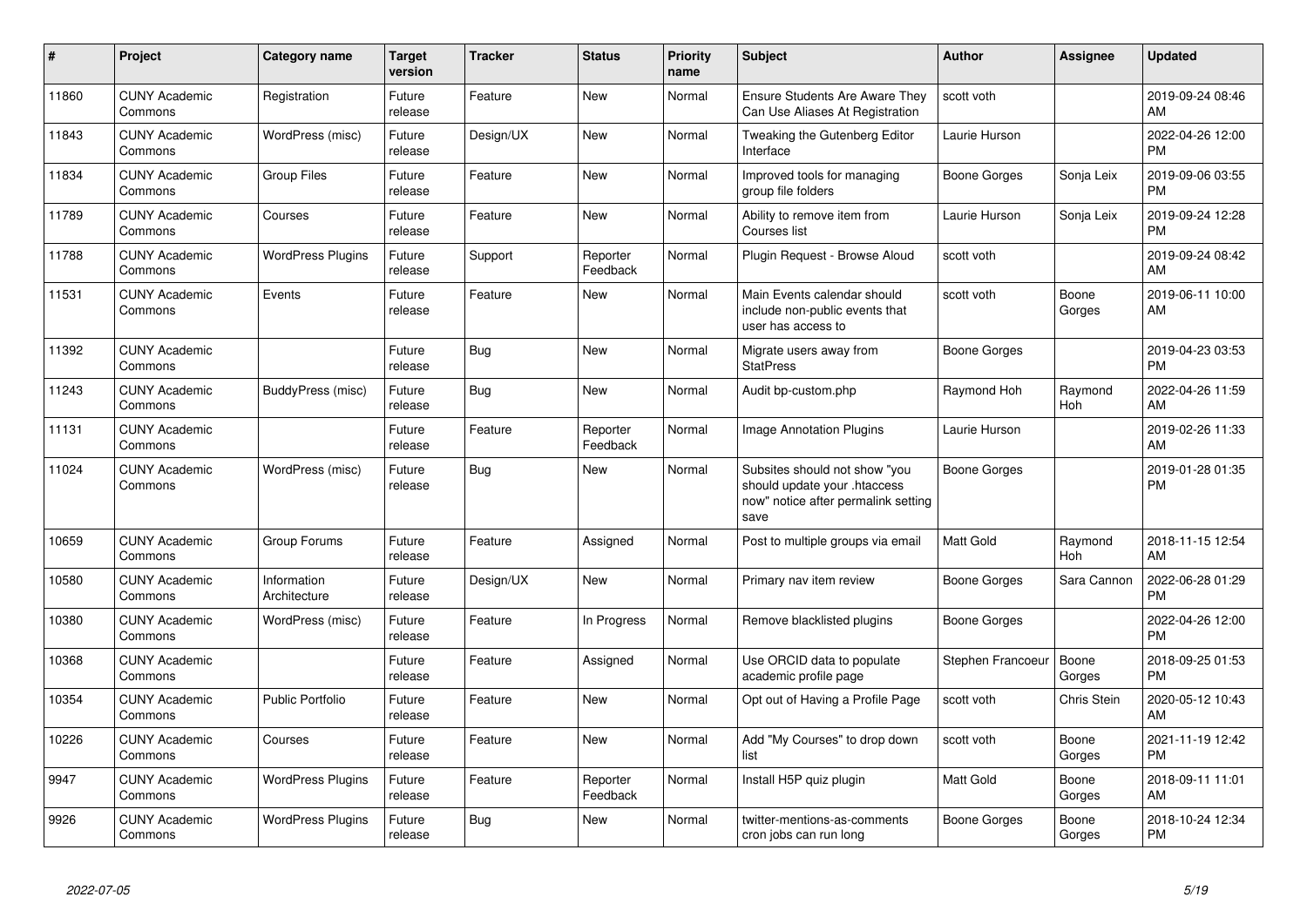| #     | Project                         | <b>Category name</b>        | <b>Target</b><br>version | <b>Tracker</b> | <b>Status</b>        | <b>Priority</b><br>name | <b>Subject</b>                                                                                               | <b>Author</b>     | <b>Assignee</b> | <b>Updated</b>                |
|-------|---------------------------------|-----------------------------|--------------------------|----------------|----------------------|-------------------------|--------------------------------------------------------------------------------------------------------------|-------------------|-----------------|-------------------------------|
| 11860 | <b>CUNY Academic</b><br>Commons | Registration                | Future<br>release        | Feature        | New                  | Normal                  | <b>Ensure Students Are Aware They</b><br>Can Use Aliases At Registration                                     | scott voth        |                 | 2019-09-24 08:46<br>AM        |
| 11843 | <b>CUNY Academic</b><br>Commons | WordPress (misc)            | Future<br>release        | Design/UX      | <b>New</b>           | Normal                  | Tweaking the Gutenberg Editor<br>Interface                                                                   | Laurie Hurson     |                 | 2022-04-26 12:00<br><b>PM</b> |
| 11834 | <b>CUNY Academic</b><br>Commons | <b>Group Files</b>          | Future<br>release        | Feature        | New                  | Normal                  | Improved tools for managing<br>group file folders                                                            | Boone Gorges      | Sonja Leix      | 2019-09-06 03:55<br><b>PM</b> |
| 11789 | <b>CUNY Academic</b><br>Commons | Courses                     | Future<br>release        | Feature        | New                  | Normal                  | Ability to remove item from<br>Courses list                                                                  | Laurie Hurson     | Sonja Leix      | 2019-09-24 12:28<br><b>PM</b> |
| 11788 | <b>CUNY Academic</b><br>Commons | <b>WordPress Plugins</b>    | Future<br>release        | Support        | Reporter<br>Feedback | Normal                  | Plugin Request - Browse Aloud                                                                                | scott voth        |                 | 2019-09-24 08:42<br>AM        |
| 11531 | <b>CUNY Academic</b><br>Commons | Events                      | Future<br>release        | Feature        | <b>New</b>           | Normal                  | Main Events calendar should<br>include non-public events that<br>user has access to                          | scott voth        | Boone<br>Gorges | 2019-06-11 10:00<br>AM        |
| 11392 | <b>CUNY Academic</b><br>Commons |                             | Future<br>release        | Bug            | <b>New</b>           | Normal                  | Migrate users away from<br><b>StatPress</b>                                                                  | Boone Gorges      |                 | 2019-04-23 03:53<br><b>PM</b> |
| 11243 | <b>CUNY Academic</b><br>Commons | BuddyPress (misc)           | Future<br>release        | Bug            | New                  | Normal                  | Audit bp-custom.php                                                                                          | Raymond Hoh       | Raymond<br>Hoh  | 2022-04-26 11:59<br>AM        |
| 11131 | <b>CUNY Academic</b><br>Commons |                             | Future<br>release        | Feature        | Reporter<br>Feedback | Normal                  | Image Annotation Plugins                                                                                     | Laurie Hurson     |                 | 2019-02-26 11:33<br>AM        |
| 11024 | <b>CUNY Academic</b><br>Commons | WordPress (misc)            | Future<br>release        | <b>Bug</b>     | New                  | Normal                  | Subsites should not show "you<br>should update your .htaccess<br>now" notice after permalink setting<br>save | Boone Gorges      |                 | 2019-01-28 01:35<br><b>PM</b> |
| 10659 | <b>CUNY Academic</b><br>Commons | Group Forums                | Future<br>release        | Feature        | Assigned             | Normal                  | Post to multiple groups via email                                                                            | <b>Matt Gold</b>  | Raymond<br>Hoh  | 2018-11-15 12:54<br>AM        |
| 10580 | <b>CUNY Academic</b><br>Commons | Information<br>Architecture | Future<br>release        | Design/UX      | New                  | Normal                  | Primary nav item review                                                                                      | Boone Gorges      | Sara Cannon     | 2022-06-28 01:29<br><b>PM</b> |
| 10380 | <b>CUNY Academic</b><br>Commons | WordPress (misc)            | Future<br>release        | Feature        | In Progress          | Normal                  | Remove blacklisted plugins                                                                                   | Boone Gorges      |                 | 2022-04-26 12:00<br><b>PM</b> |
| 10368 | <b>CUNY Academic</b><br>Commons |                             | Future<br>release        | Feature        | Assigned             | Normal                  | Use ORCID data to populate<br>academic profile page                                                          | Stephen Francoeur | Boone<br>Gorges | 2018-09-25 01:53<br><b>PM</b> |
| 10354 | <b>CUNY Academic</b><br>Commons | <b>Public Portfolio</b>     | Future<br>release        | Feature        | New                  | Normal                  | Opt out of Having a Profile Page                                                                             | scott voth        | Chris Stein     | 2020-05-12 10:43<br>AM        |
| 10226 | <b>CUNY Academic</b><br>Commons | Courses                     | Future<br>release        | Feature        | <b>New</b>           | Normal                  | Add "My Courses" to drop down<br>list                                                                        | scott voth        | Boone<br>Gorges | 2021-11-19 12:42<br><b>PM</b> |
| 9947  | <b>CUNY Academic</b><br>Commons | <b>WordPress Plugins</b>    | Future<br>release        | Feature        | Reporter<br>Feedback | Normal                  | Install H5P quiz plugin                                                                                      | <b>Matt Gold</b>  | Boone<br>Gorges | 2018-09-11 11:01<br>AM        |
| 9926  | <b>CUNY Academic</b><br>Commons | <b>WordPress Plugins</b>    | Future<br>release        | <b>Bug</b>     | <b>New</b>           | Normal                  | twitter-mentions-as-comments<br>cron jobs can run long                                                       | Boone Gorges      | Boone<br>Gorges | 2018-10-24 12:34<br><b>PM</b> |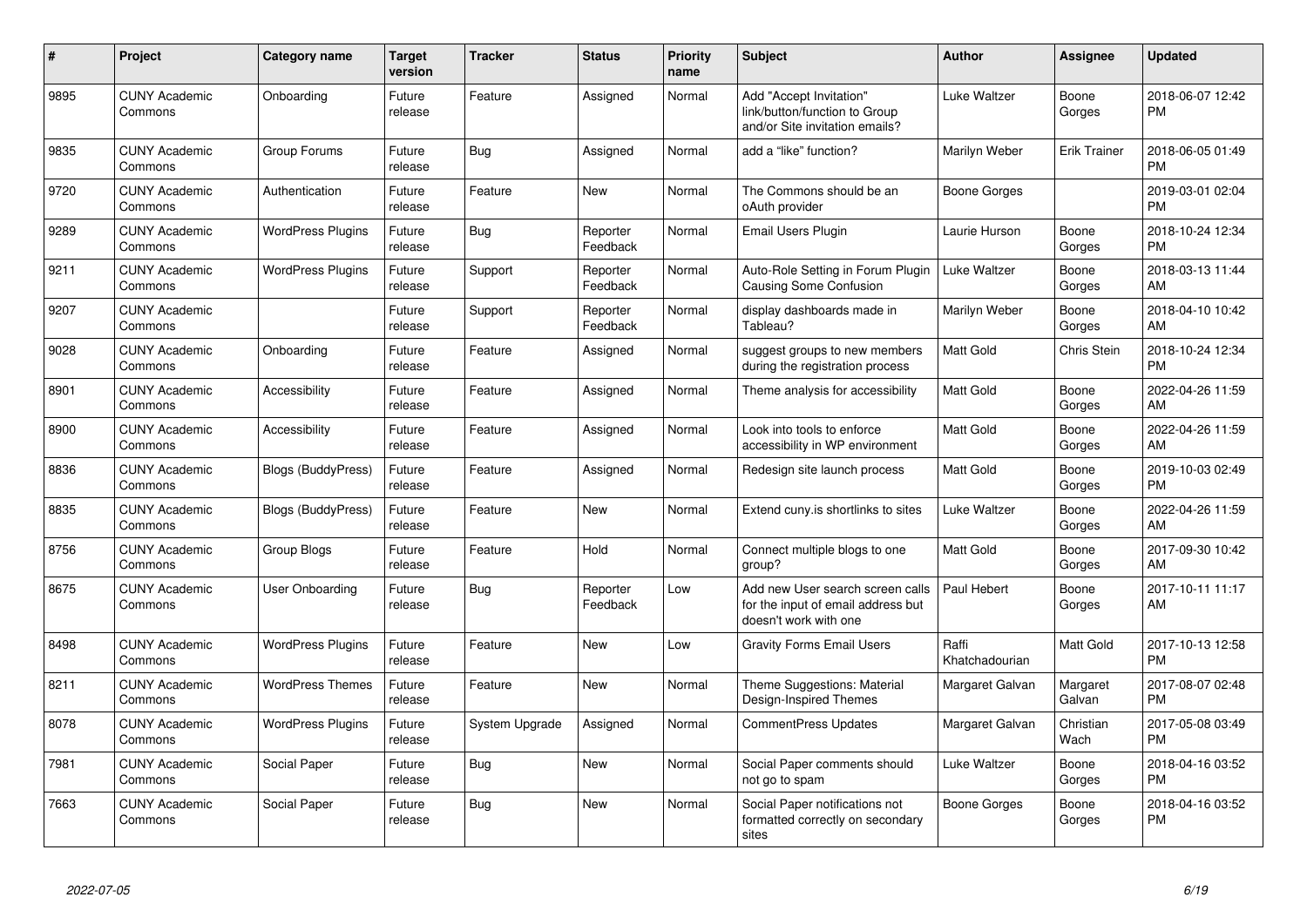| #    | <b>Project</b>                  | Category name             | <b>Target</b><br>version | <b>Tracker</b> | <b>Status</b>        | Priority<br>name | <b>Subject</b>                                                                                  | <b>Author</b>           | Assignee            | <b>Updated</b>                |
|------|---------------------------------|---------------------------|--------------------------|----------------|----------------------|------------------|-------------------------------------------------------------------------------------------------|-------------------------|---------------------|-------------------------------|
| 9895 | <b>CUNY Academic</b><br>Commons | Onboarding                | Future<br>release        | Feature        | Assigned             | Normal           | Add "Accept Invitation"<br>link/button/function to Group<br>and/or Site invitation emails?      | Luke Waltzer            | Boone<br>Gorges     | 2018-06-07 12:42<br><b>PM</b> |
| 9835 | <b>CUNY Academic</b><br>Commons | Group Forums              | Future<br>release        | Bug            | Assigned             | Normal           | add a "like" function?                                                                          | Marilyn Weber           | <b>Erik Trainer</b> | 2018-06-05 01:49<br><b>PM</b> |
| 9720 | <b>CUNY Academic</b><br>Commons | Authentication            | Future<br>release        | Feature        | New                  | Normal           | The Commons should be an<br>oAuth provider                                                      | Boone Gorges            |                     | 2019-03-01 02:04<br><b>PM</b> |
| 9289 | <b>CUNY Academic</b><br>Commons | <b>WordPress Plugins</b>  | Future<br>release        | Bug            | Reporter<br>Feedback | Normal           | Email Users Plugin                                                                              | Laurie Hurson           | Boone<br>Gorges     | 2018-10-24 12:34<br><b>PM</b> |
| 9211 | <b>CUNY Academic</b><br>Commons | <b>WordPress Plugins</b>  | Future<br>release        | Support        | Reporter<br>Feedback | Normal           | Auto-Role Setting in Forum Plugin<br><b>Causing Some Confusion</b>                              | Luke Waltzer            | Boone<br>Gorges     | 2018-03-13 11:44<br>AM        |
| 9207 | <b>CUNY Academic</b><br>Commons |                           | Future<br>release        | Support        | Reporter<br>Feedback | Normal           | display dashboards made in<br>Tableau?                                                          | Marilyn Weber           | Boone<br>Gorges     | 2018-04-10 10:42<br>AM        |
| 9028 | <b>CUNY Academic</b><br>Commons | Onboarding                | Future<br>release        | Feature        | Assigned             | Normal           | suggest groups to new members<br>during the registration process                                | <b>Matt Gold</b>        | Chris Stein         | 2018-10-24 12:34<br><b>PM</b> |
| 8901 | <b>CUNY Academic</b><br>Commons | Accessibility             | Future<br>release        | Feature        | Assigned             | Normal           | Theme analysis for accessibility                                                                | <b>Matt Gold</b>        | Boone<br>Gorges     | 2022-04-26 11:59<br>AM        |
| 8900 | <b>CUNY Academic</b><br>Commons | Accessibility             | Future<br>release        | Feature        | Assigned             | Normal           | Look into tools to enforce<br>accessibility in WP environment                                   | Matt Gold               | Boone<br>Gorges     | 2022-04-26 11:59<br>AM        |
| 8836 | <b>CUNY Academic</b><br>Commons | <b>Blogs (BuddyPress)</b> | Future<br>release        | Feature        | Assigned             | Normal           | Redesign site launch process                                                                    | <b>Matt Gold</b>        | Boone<br>Gorges     | 2019-10-03 02:49<br><b>PM</b> |
| 8835 | <b>CUNY Academic</b><br>Commons | Blogs (BuddyPress)        | Future<br>release        | Feature        | New                  | Normal           | Extend cuny is shortlinks to sites                                                              | Luke Waltzer            | Boone<br>Gorges     | 2022-04-26 11:59<br>AM        |
| 8756 | <b>CUNY Academic</b><br>Commons | Group Blogs               | Future<br>release        | Feature        | Hold                 | Normal           | Connect multiple blogs to one<br>group?                                                         | Matt Gold               | Boone<br>Gorges     | 2017-09-30 10:42<br>AM        |
| 8675 | <b>CUNY Academic</b><br>Commons | User Onboarding           | Future<br>release        | Bug            | Reporter<br>Feedback | Low              | Add new User search screen calls<br>for the input of email address but<br>doesn't work with one | Paul Hebert             | Boone<br>Gorges     | 2017-10-11 11:17<br>AM        |
| 8498 | <b>CUNY Academic</b><br>Commons | <b>WordPress Plugins</b>  | Future<br>release        | Feature        | <b>New</b>           | Low              | <b>Gravity Forms Email Users</b>                                                                | Raffi<br>Khatchadourian | Matt Gold           | 2017-10-13 12:58<br><b>PM</b> |
| 8211 | <b>CUNY Academic</b><br>Commons | <b>WordPress Themes</b>   | Future<br>release        | Feature        | New                  | Normal           | Theme Suggestions: Material<br>Design-Inspired Themes                                           | Margaret Galvan         | Margaret<br>Galvan  | 2017-08-07 02:48<br><b>PM</b> |
| 8078 | <b>CUNY Academic</b><br>Commons | <b>WordPress Plugins</b>  | Future<br>release        | System Upgrade | Assigned             | Normal           | <b>CommentPress Updates</b>                                                                     | Margaret Galvan         | Christian<br>Wach   | 2017-05-08 03:49<br><b>PM</b> |
| 7981 | <b>CUNY Academic</b><br>Commons | Social Paper              | Future<br>release        | Bug            | New                  | Normal           | Social Paper comments should<br>not go to spam                                                  | Luke Waltzer            | Boone<br>Gorges     | 2018-04-16 03:52<br><b>PM</b> |
| 7663 | <b>CUNY Academic</b><br>Commons | Social Paper              | Future<br>release        | Bug            | <b>New</b>           | Normal           | Social Paper notifications not<br>formatted correctly on secondary<br>sites                     | Boone Gorges            | Boone<br>Gorges     | 2018-04-16 03:52<br><b>PM</b> |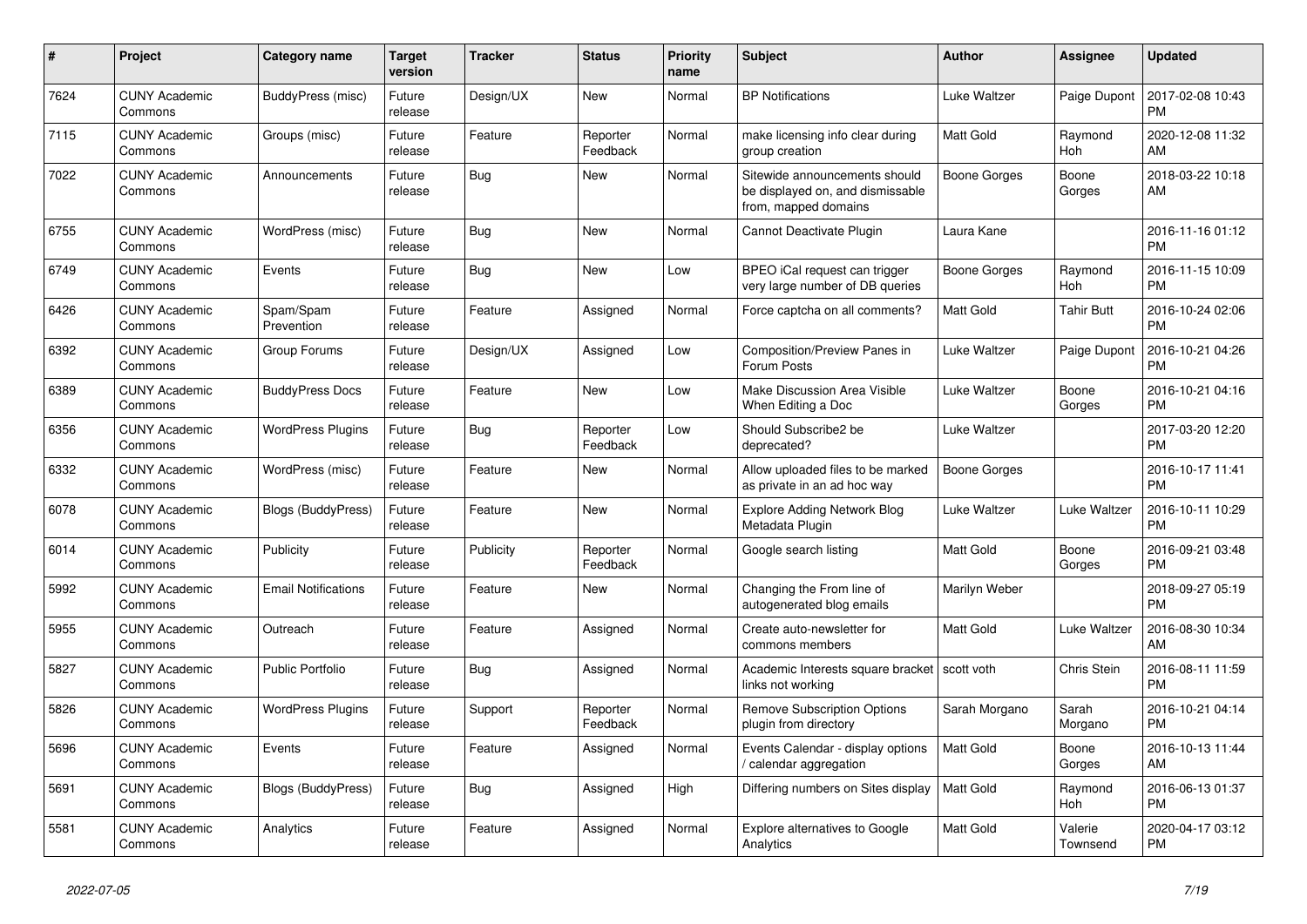| #    | <b>Project</b>                  | <b>Category name</b>       | <b>Target</b><br>version | <b>Tracker</b> | <b>Status</b>        | Priority<br>name | <b>Subject</b>                                                                            | <b>Author</b>       | Assignee            | <b>Updated</b>                |
|------|---------------------------------|----------------------------|--------------------------|----------------|----------------------|------------------|-------------------------------------------------------------------------------------------|---------------------|---------------------|-------------------------------|
| 7624 | <b>CUNY Academic</b><br>Commons | BuddyPress (misc)          | Future<br>release        | Design/UX      | New                  | Normal           | <b>BP Notifications</b>                                                                   | Luke Waltzer        | Paige Dupont        | 2017-02-08 10:43<br><b>PM</b> |
| 7115 | <b>CUNY Academic</b><br>Commons | Groups (misc)              | Future<br>release        | Feature        | Reporter<br>Feedback | Normal           | make licensing info clear during<br>group creation                                        | <b>Matt Gold</b>    | Raymond<br>Hoh      | 2020-12-08 11:32<br>AM        |
| 7022 | <b>CUNY Academic</b><br>Commons | Announcements              | Future<br>release        | <b>Bug</b>     | New                  | Normal           | Sitewide announcements should<br>be displayed on, and dismissable<br>from, mapped domains | Boone Gorges        | Boone<br>Gorges     | 2018-03-22 10:18<br>AM        |
| 6755 | <b>CUNY Academic</b><br>Commons | WordPress (misc)           | Future<br>release        | <b>Bug</b>     | <b>New</b>           | Normal           | Cannot Deactivate Plugin                                                                  | Laura Kane          |                     | 2016-11-16 01:12<br><b>PM</b> |
| 6749 | <b>CUNY Academic</b><br>Commons | Events                     | Future<br>release        | Bug            | New                  | Low              | BPEO iCal request can trigger<br>very large number of DB queries                          | Boone Gorges        | Raymond<br>Hoh      | 2016-11-15 10:09<br><b>PM</b> |
| 6426 | <b>CUNY Academic</b><br>Commons | Spam/Spam<br>Prevention    | Future<br>release        | Feature        | Assigned             | Normal           | Force captcha on all comments?                                                            | <b>Matt Gold</b>    | Tahir Butt          | 2016-10-24 02:06<br><b>PM</b> |
| 6392 | <b>CUNY Academic</b><br>Commons | Group Forums               | Future<br>release        | Design/UX      | Assigned             | Low              | Composition/Preview Panes in<br>Forum Posts                                               | Luke Waltzer        | Paige Dupont        | 2016-10-21 04:26<br><b>PM</b> |
| 6389 | <b>CUNY Academic</b><br>Commons | <b>BuddyPress Docs</b>     | Future<br>release        | Feature        | New                  | Low              | Make Discussion Area Visible<br>When Editing a Doc                                        | Luke Waltzer        | Boone<br>Gorges     | 2016-10-21 04:16<br><b>PM</b> |
| 6356 | <b>CUNY Academic</b><br>Commons | <b>WordPress Plugins</b>   | Future<br>release        | <b>Bug</b>     | Reporter<br>Feedback | Low              | Should Subscribe2 be<br>deprecated?                                                       | Luke Waltzer        |                     | 2017-03-20 12:20<br><b>PM</b> |
| 6332 | <b>CUNY Academic</b><br>Commons | WordPress (misc)           | Future<br>release        | Feature        | New                  | Normal           | Allow uploaded files to be marked<br>as private in an ad hoc way                          | <b>Boone Gorges</b> |                     | 2016-10-17 11:41<br><b>PM</b> |
| 6078 | <b>CUNY Academic</b><br>Commons | <b>Blogs (BuddyPress)</b>  | Future<br>release        | Feature        | New                  | Normal           | <b>Explore Adding Network Blog</b><br>Metadata Plugin                                     | Luke Waltzer        | Luke Waltzer        | 2016-10-11 10:29<br><b>PM</b> |
| 6014 | <b>CUNY Academic</b><br>Commons | Publicity                  | Future<br>release        | Publicity      | Reporter<br>Feedback | Normal           | Google search listing                                                                     | <b>Matt Gold</b>    | Boone<br>Gorges     | 2016-09-21 03:48<br><b>PM</b> |
| 5992 | <b>CUNY Academic</b><br>Commons | <b>Email Notifications</b> | Future<br>release        | Feature        | New                  | Normal           | Changing the From line of<br>autogenerated blog emails                                    | Marilyn Weber       |                     | 2018-09-27 05:19<br><b>PM</b> |
| 5955 | <b>CUNY Academic</b><br>Commons | Outreach                   | Future<br>release        | Feature        | Assigned             | Normal           | Create auto-newsletter for<br>commons members                                             | <b>Matt Gold</b>    | Luke Waltzer        | 2016-08-30 10:34<br>AM        |
| 5827 | <b>CUNY Academic</b><br>Commons | <b>Public Portfolio</b>    | Future<br>release        | Bug            | Assigned             | Normal           | Academic Interests square bracket   scott voth<br>links not working                       |                     | Chris Stein         | 2016-08-11 11:59<br><b>PM</b> |
| 5826 | <b>CUNY Academic</b><br>Commons | <b>WordPress Plugins</b>   | Future<br>release        | Support        | Reporter<br>Feedback | Normal           | <b>Remove Subscription Options</b><br>plugin from directory                               | Sarah Morgano       | Sarah<br>Morgano    | 2016-10-21 04:14<br><b>PM</b> |
| 5696 | <b>CUNY Academic</b><br>Commons | Events                     | Future<br>release        | Feature        | Assigned             | Normal           | Events Calendar - display options<br>calendar aggregation                                 | <b>Matt Gold</b>    | Boone<br>Gorges     | 2016-10-13 11:44<br>AM        |
| 5691 | <b>CUNY Academic</b><br>Commons | <b>Blogs (BuddyPress)</b>  | Future<br>release        | Bug            | Assigned             | High             | Differing numbers on Sites display                                                        | Matt Gold           | Raymond<br>Hoh      | 2016-06-13 01:37<br><b>PM</b> |
| 5581 | <b>CUNY Academic</b><br>Commons | Analytics                  | Future<br>release        | Feature        | Assigned             | Normal           | Explore alternatives to Google<br>Analytics                                               | <b>Matt Gold</b>    | Valerie<br>Townsend | 2020-04-17 03:12<br><b>PM</b> |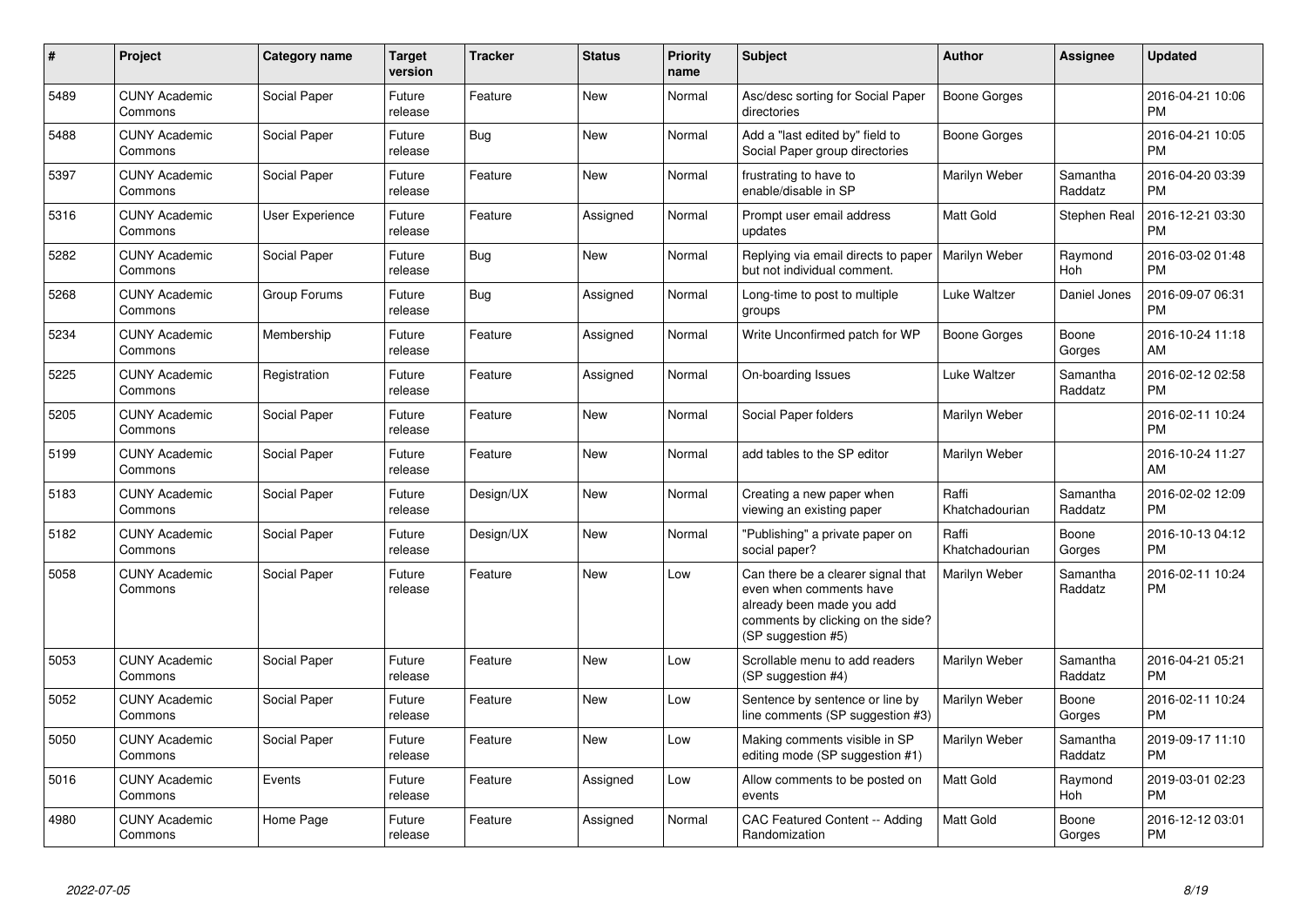| $\#$ | Project                         | <b>Category name</b> | <b>Target</b><br>version | <b>Tracker</b> | <b>Status</b> | <b>Priority</b><br>name | <b>Subject</b>                                                                                                                                        | <b>Author</b>           | Assignee            | <b>Updated</b>                |
|------|---------------------------------|----------------------|--------------------------|----------------|---------------|-------------------------|-------------------------------------------------------------------------------------------------------------------------------------------------------|-------------------------|---------------------|-------------------------------|
| 5489 | <b>CUNY Academic</b><br>Commons | Social Paper         | Future<br>release        | Feature        | New           | Normal                  | Asc/desc sorting for Social Paper<br>directories                                                                                                      | <b>Boone Gorges</b>     |                     | 2016-04-21 10:06<br><b>PM</b> |
| 5488 | <b>CUNY Academic</b><br>Commons | Social Paper         | Future<br>release        | Bug            | New           | Normal                  | Add a "last edited by" field to<br>Social Paper group directories                                                                                     | Boone Gorges            |                     | 2016-04-21 10:05<br><b>PM</b> |
| 5397 | <b>CUNY Academic</b><br>Commons | Social Paper         | Future<br>release        | Feature        | New           | Normal                  | frustrating to have to<br>enable/disable in SP                                                                                                        | Marilyn Weber           | Samantha<br>Raddatz | 2016-04-20 03:39<br><b>PM</b> |
| 5316 | <b>CUNY Academic</b><br>Commons | User Experience      | Future<br>release        | Feature        | Assigned      | Normal                  | Prompt user email address<br>updates                                                                                                                  | Matt Gold               | Stephen Real        | 2016-12-21 03:30<br><b>PM</b> |
| 5282 | <b>CUNY Academic</b><br>Commons | Social Paper         | Future<br>release        | <b>Bug</b>     | New           | Normal                  | Replying via email directs to paper<br>but not individual comment.                                                                                    | Marilyn Weber           | Raymond<br>Hoh      | 2016-03-02 01:48<br><b>PM</b> |
| 5268 | <b>CUNY Academic</b><br>Commons | Group Forums         | Future<br>release        | <b>Bug</b>     | Assigned      | Normal                  | Long-time to post to multiple<br>groups                                                                                                               | Luke Waltzer            | Daniel Jones        | 2016-09-07 06:31<br><b>PM</b> |
| 5234 | <b>CUNY Academic</b><br>Commons | Membership           | Future<br>release        | Feature        | Assigned      | Normal                  | Write Unconfirmed patch for WP                                                                                                                        | Boone Gorges            | Boone<br>Gorges     | 2016-10-24 11:18<br>AM        |
| 5225 | <b>CUNY Academic</b><br>Commons | Registration         | Future<br>release        | Feature        | Assigned      | Normal                  | On-boarding Issues                                                                                                                                    | Luke Waltzer            | Samantha<br>Raddatz | 2016-02-12 02:58<br><b>PM</b> |
| 5205 | <b>CUNY Academic</b><br>Commons | Social Paper         | Future<br>release        | Feature        | New           | Normal                  | Social Paper folders                                                                                                                                  | Marilyn Weber           |                     | 2016-02-11 10:24<br><b>PM</b> |
| 5199 | <b>CUNY Academic</b><br>Commons | Social Paper         | Future<br>release        | Feature        | New           | Normal                  | add tables to the SP editor                                                                                                                           | Marilyn Weber           |                     | 2016-10-24 11:27<br>AM        |
| 5183 | <b>CUNY Academic</b><br>Commons | Social Paper         | Future<br>release        | Design/UX      | New           | Normal                  | Creating a new paper when<br>viewing an existing paper                                                                                                | Raffi<br>Khatchadourian | Samantha<br>Raddatz | 2016-02-02 12:09<br><b>PM</b> |
| 5182 | <b>CUNY Academic</b><br>Commons | Social Paper         | Future<br>release        | Design/UX      | New           | Normal                  | "Publishing" a private paper on<br>social paper?                                                                                                      | Raffi<br>Khatchadourian | Boone<br>Gorges     | 2016-10-13 04:12<br><b>PM</b> |
| 5058 | <b>CUNY Academic</b><br>Commons | Social Paper         | Future<br>release        | Feature        | <b>New</b>    | Low                     | Can there be a clearer signal that<br>even when comments have<br>already been made you add<br>comments by clicking on the side?<br>(SP suggestion #5) | Marilyn Weber           | Samantha<br>Raddatz | 2016-02-11 10:24<br><b>PM</b> |
| 5053 | <b>CUNY Academic</b><br>Commons | Social Paper         | Future<br>release        | Feature        | New           | Low                     | Scrollable menu to add readers<br>(SP suggestion #4)                                                                                                  | Marilyn Weber           | Samantha<br>Raddatz | 2016-04-21 05:21<br><b>PM</b> |
| 5052 | <b>CUNY Academic</b><br>Commons | Social Paper         | Future<br>release        | Feature        | New           | Low                     | Sentence by sentence or line by<br>line comments (SP suggestion #3)                                                                                   | Marilyn Weber           | Boone<br>Gorges     | 2016-02-11 10:24<br><b>PM</b> |
| 5050 | <b>CUNY Academic</b><br>Commons | Social Paper         | Future<br>release        | Feature        | <b>New</b>    | Low                     | Making comments visible in SP<br>editing mode (SP suggestion #1)                                                                                      | Marilyn Weber           | Samantha<br>Raddatz | 2019-09-17 11:10<br><b>PM</b> |
| 5016 | <b>CUNY Academic</b><br>Commons | Events               | Future<br>release        | Feature        | Assigned      | Low                     | Allow comments to be posted on<br>events                                                                                                              | <b>Matt Gold</b>        | Raymond<br>Hoh      | 2019-03-01 02:23<br><b>PM</b> |
| 4980 | <b>CUNY Academic</b><br>Commons | Home Page            | Future<br>release        | Feature        | Assigned      | Normal                  | <b>CAC Featured Content -- Adding</b><br>Randomization                                                                                                | <b>Matt Gold</b>        | Boone<br>Gorges     | 2016-12-12 03:01<br><b>PM</b> |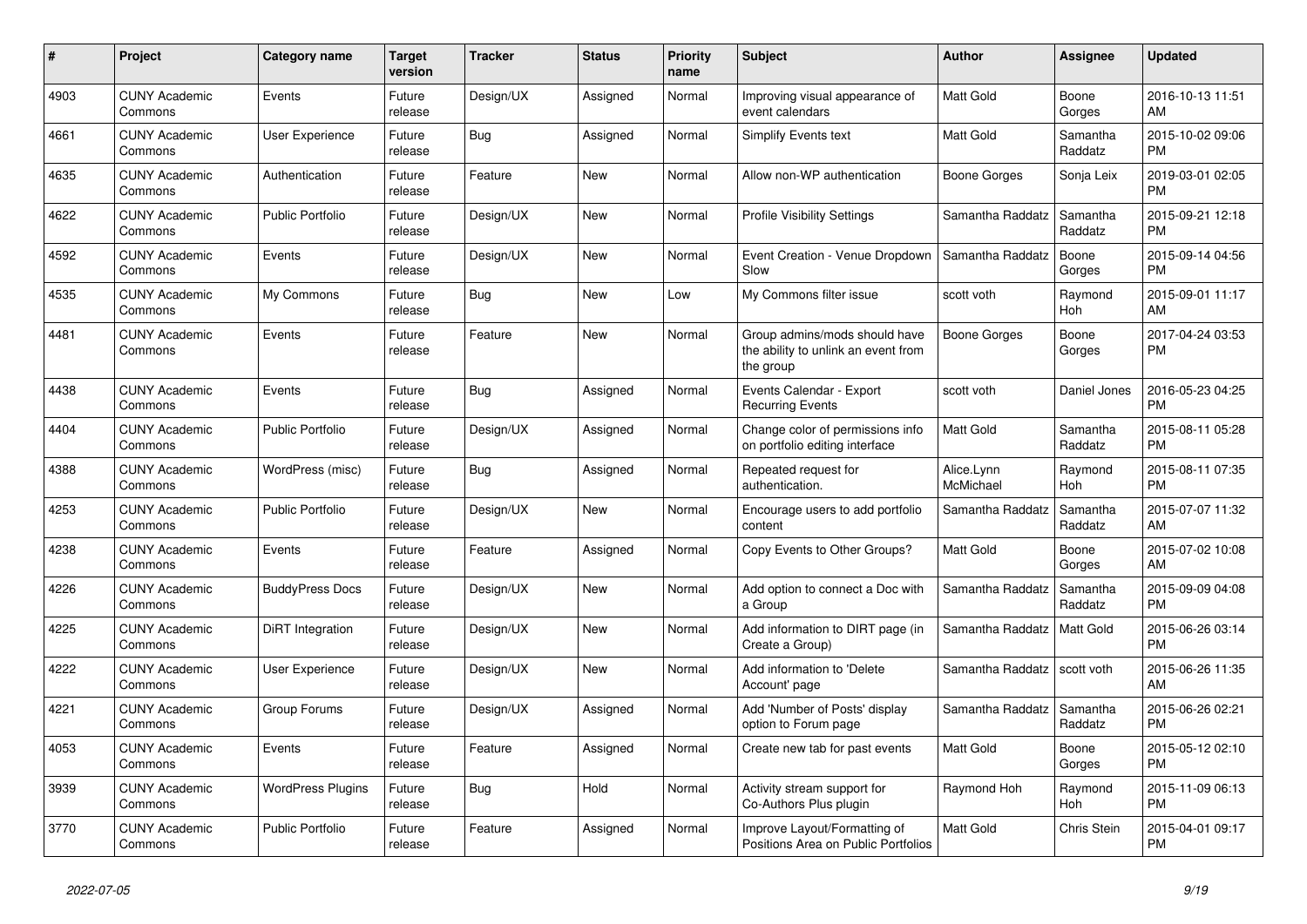| #    | <b>Project</b>                  | <b>Category name</b>     | <b>Target</b><br>version | <b>Tracker</b> | <b>Status</b> | Priority<br>name | <b>Subject</b>                                                                    | <b>Author</b>           | Assignee            | <b>Updated</b>                |
|------|---------------------------------|--------------------------|--------------------------|----------------|---------------|------------------|-----------------------------------------------------------------------------------|-------------------------|---------------------|-------------------------------|
| 4903 | <b>CUNY Academic</b><br>Commons | Events                   | Future<br>release        | Design/UX      | Assigned      | Normal           | Improving visual appearance of<br>event calendars                                 | <b>Matt Gold</b>        | Boone<br>Gorges     | 2016-10-13 11:51<br>AM        |
| 4661 | <b>CUNY Academic</b><br>Commons | User Experience          | Future<br>release        | <b>Bug</b>     | Assigned      | Normal           | Simplify Events text                                                              | <b>Matt Gold</b>        | Samantha<br>Raddatz | 2015-10-02 09:06<br><b>PM</b> |
| 4635 | <b>CUNY Academic</b><br>Commons | Authentication           | Future<br>release        | Feature        | <b>New</b>    | Normal           | Allow non-WP authentication                                                       | Boone Gorges            | Sonja Leix          | 2019-03-01 02:05<br><b>PM</b> |
| 4622 | <b>CUNY Academic</b><br>Commons | <b>Public Portfolio</b>  | Future<br>release        | Design/UX      | <b>New</b>    | Normal           | <b>Profile Visibility Settings</b>                                                | Samantha Raddatz        | Samantha<br>Raddatz | 2015-09-21 12:18<br><b>PM</b> |
| 4592 | <b>CUNY Academic</b><br>Commons | Events                   | Future<br>release        | Design/UX      | New           | Normal           | Event Creation - Venue Dropdown<br>Slow                                           | Samantha Raddatz        | Boone<br>Gorges     | 2015-09-14 04:56<br><b>PM</b> |
| 4535 | <b>CUNY Academic</b><br>Commons | My Commons               | Future<br>release        | Bug            | New           | Low              | My Commons filter issue                                                           | scott voth              | Raymond<br>Hoh      | 2015-09-01 11:17<br>AM        |
| 4481 | <b>CUNY Academic</b><br>Commons | Events                   | Future<br>release        | Feature        | <b>New</b>    | Normal           | Group admins/mods should have<br>the ability to unlink an event from<br>the group | <b>Boone Gorges</b>     | Boone<br>Gorges     | 2017-04-24 03:53<br><b>PM</b> |
| 4438 | <b>CUNY Academic</b><br>Commons | Events                   | Future<br>release        | Bug            | Assigned      | Normal           | Events Calendar - Export<br><b>Recurring Events</b>                               | scott voth              | Daniel Jones        | 2016-05-23 04:25<br><b>PM</b> |
| 4404 | <b>CUNY Academic</b><br>Commons | <b>Public Portfolio</b>  | Future<br>release        | Design/UX      | Assigned      | Normal           | Change color of permissions info<br>on portfolio editing interface                | Matt Gold               | Samantha<br>Raddatz | 2015-08-11 05:28<br><b>PM</b> |
| 4388 | <b>CUNY Academic</b><br>Commons | WordPress (misc)         | Future<br>release        | Bug            | Assigned      | Normal           | Repeated request for<br>authentication.                                           | Alice.Lynn<br>McMichael | Raymond<br>Hoh      | 2015-08-11 07:35<br><b>PM</b> |
| 4253 | <b>CUNY Academic</b><br>Commons | <b>Public Portfolio</b>  | Future<br>release        | Design/UX      | New           | Normal           | Encourage users to add portfolio<br>content                                       | Samantha Raddatz        | Samantha<br>Raddatz | 2015-07-07 11:32<br>AM        |
| 4238 | <b>CUNY Academic</b><br>Commons | Events                   | Future<br>release        | Feature        | Assigned      | Normal           | Copy Events to Other Groups?                                                      | <b>Matt Gold</b>        | Boone<br>Gorges     | 2015-07-02 10:08<br>AM        |
| 4226 | <b>CUNY Academic</b><br>Commons | <b>BuddyPress Docs</b>   | Future<br>release        | Design/UX      | New           | Normal           | Add option to connect a Doc with<br>a Group                                       | Samantha Raddatz        | Samantha<br>Raddatz | 2015-09-09 04:08<br><b>PM</b> |
| 4225 | <b>CUNY Academic</b><br>Commons | DiRT Integration         | Future<br>release        | Design/UX      | <b>New</b>    | Normal           | Add information to DIRT page (in<br>Create a Group)                               | Samantha Raddatz        | Matt Gold           | 2015-06-26 03:14<br><b>PM</b> |
| 4222 | <b>CUNY Academic</b><br>Commons | User Experience          | Future<br>release        | Design/UX      | New           | Normal           | Add information to 'Delete<br>Account' page                                       | Samantha Raddatz        | scott voth          | 2015-06-26 11:35<br>AM        |
| 4221 | <b>CUNY Academic</b><br>Commons | Group Forums             | Future<br>release        | Design/UX      | Assigned      | Normal           | Add 'Number of Posts' display<br>option to Forum page                             | Samantha Raddatz        | Samantha<br>Raddatz | 2015-06-26 02:21<br><b>PM</b> |
| 4053 | <b>CUNY Academic</b><br>Commons | Events                   | Future<br>release        | Feature        | Assigned      | Normal           | Create new tab for past events                                                    | <b>Matt Gold</b>        | Boone<br>Gorges     | 2015-05-12 02:10<br><b>PM</b> |
| 3939 | <b>CUNY Academic</b><br>Commons | <b>WordPress Plugins</b> | Future<br>release        | Bug            | Hold          | Normal           | Activity stream support for<br>Co-Authors Plus plugin                             | Raymond Hoh             | Raymond<br>Hoh      | 2015-11-09 06:13<br><b>PM</b> |
| 3770 | <b>CUNY Academic</b><br>Commons | Public Portfolio         | Future<br>release        | Feature        | Assigned      | Normal           | Improve Layout/Formatting of<br>Positions Area on Public Portfolios               | <b>Matt Gold</b>        | Chris Stein         | 2015-04-01 09:17<br><b>PM</b> |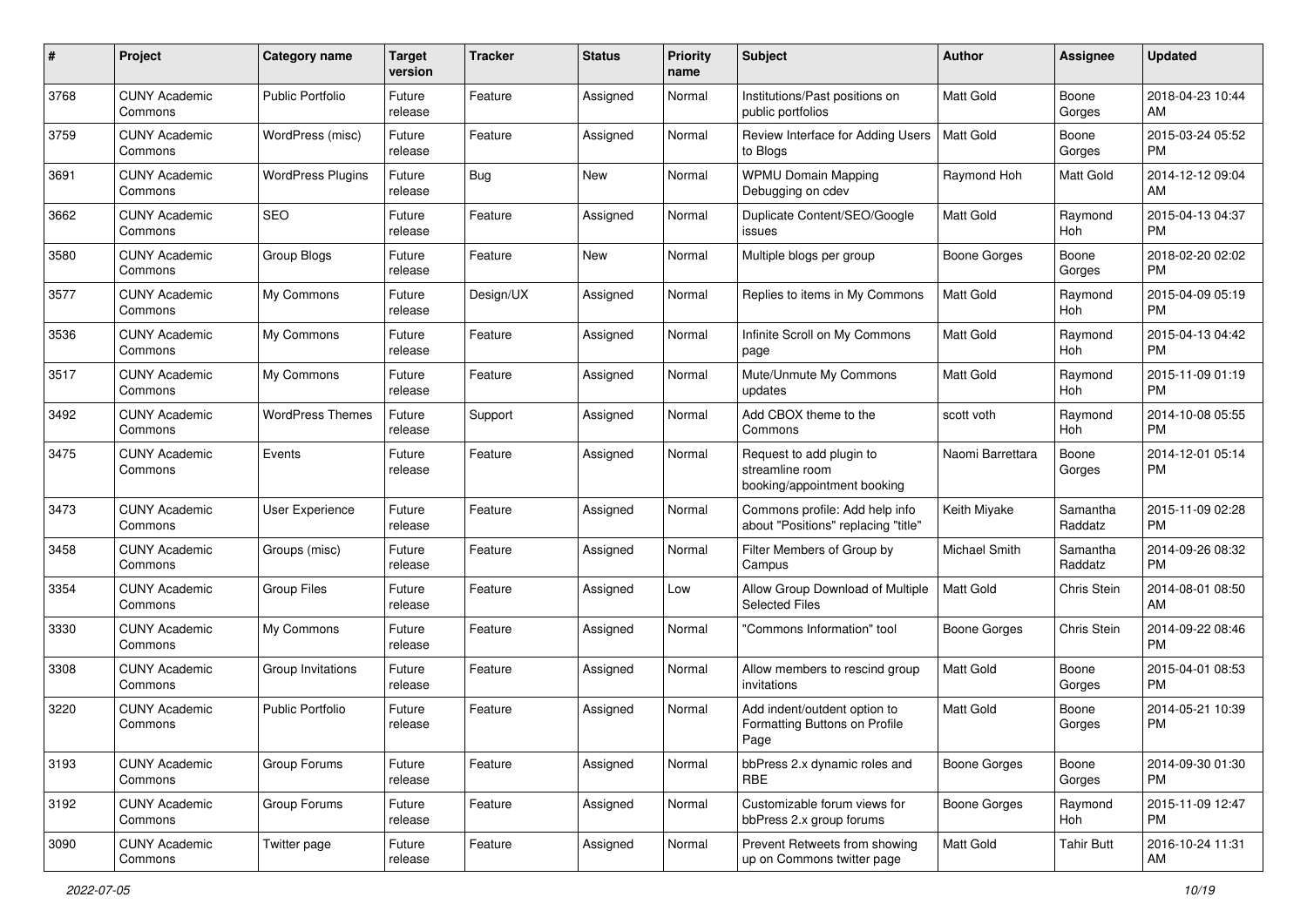| #    | Project                         | <b>Category name</b>     | <b>Target</b><br>version | <b>Tracker</b> | <b>Status</b> | Priority<br>name | <b>Subject</b>                                                             | Author              | <b>Assignee</b>     | <b>Updated</b>                |
|------|---------------------------------|--------------------------|--------------------------|----------------|---------------|------------------|----------------------------------------------------------------------------|---------------------|---------------------|-------------------------------|
| 3768 | <b>CUNY Academic</b><br>Commons | <b>Public Portfolio</b>  | Future<br>release        | Feature        | Assigned      | Normal           | Institutions/Past positions on<br>public portfolios                        | <b>Matt Gold</b>    | Boone<br>Gorges     | 2018-04-23 10:44<br>AM.       |
| 3759 | <b>CUNY Academic</b><br>Commons | WordPress (misc)         | Future<br>release        | Feature        | Assigned      | Normal           | Review Interface for Adding Users<br>to Blogs                              | <b>Matt Gold</b>    | Boone<br>Gorges     | 2015-03-24 05:52<br><b>PM</b> |
| 3691 | <b>CUNY Academic</b><br>Commons | <b>WordPress Plugins</b> | Future<br>release        | Bug            | New           | Normal           | <b>WPMU Domain Mapping</b><br>Debugging on cdev                            | Raymond Hoh         | Matt Gold           | 2014-12-12 09:04<br>AM        |
| 3662 | <b>CUNY Academic</b><br>Commons | SEO                      | Future<br>release        | Feature        | Assigned      | Normal           | Duplicate Content/SEO/Google<br>issues                                     | Matt Gold           | Raymond<br>Hoh      | 2015-04-13 04:37<br><b>PM</b> |
| 3580 | <b>CUNY Academic</b><br>Commons | Group Blogs              | Future<br>release        | Feature        | New           | Normal           | Multiple blogs per group                                                   | Boone Gorges        | Boone<br>Gorges     | 2018-02-20 02:02<br><b>PM</b> |
| 3577 | <b>CUNY Academic</b><br>Commons | My Commons               | Future<br>release        | Design/UX      | Assigned      | Normal           | Replies to items in My Commons                                             | <b>Matt Gold</b>    | Raymond<br>Hoh      | 2015-04-09 05:19<br><b>PM</b> |
| 3536 | <b>CUNY Academic</b><br>Commons | My Commons               | Future<br>release        | Feature        | Assigned      | Normal           | Infinite Scroll on My Commons<br>page                                      | Matt Gold           | Raymond<br>Hoh      | 2015-04-13 04:42<br><b>PM</b> |
| 3517 | <b>CUNY Academic</b><br>Commons | My Commons               | Future<br>release        | Feature        | Assigned      | Normal           | Mute/Unmute My Commons<br>updates                                          | <b>Matt Gold</b>    | Raymond<br>Hoh      | 2015-11-09 01:19<br>PM.       |
| 3492 | <b>CUNY Academic</b><br>Commons | <b>WordPress Themes</b>  | Future<br>release        | Support        | Assigned      | Normal           | Add CBOX theme to the<br>Commons                                           | scott voth          | Raymond<br>Hoh      | 2014-10-08 05:55<br><b>PM</b> |
| 3475 | <b>CUNY Academic</b><br>Commons | Events                   | Future<br>release        | Feature        | Assigned      | Normal           | Request to add plugin to<br>streamline room<br>booking/appointment booking | Naomi Barrettara    | Boone<br>Gorges     | 2014-12-01 05:14<br>PM.       |
| 3473 | <b>CUNY Academic</b><br>Commons | User Experience          | Future<br>release        | Feature        | Assigned      | Normal           | Commons profile: Add help info<br>about "Positions" replacing "title"      | Keith Miyake        | Samantha<br>Raddatz | 2015-11-09 02:28<br>PM.       |
| 3458 | <b>CUNY Academic</b><br>Commons | Groups (misc)            | Future<br>release        | Feature        | Assigned      | Normal           | Filter Members of Group by<br>Campus                                       | Michael Smith       | Samantha<br>Raddatz | 2014-09-26 08:32<br>PM.       |
| 3354 | <b>CUNY Academic</b><br>Commons | <b>Group Files</b>       | Future<br>release        | Feature        | Assigned      | Low              | Allow Group Download of Multiple<br><b>Selected Files</b>                  | <b>Matt Gold</b>    | Chris Stein         | 2014-08-01 08:50<br>AM        |
| 3330 | <b>CUNY Academic</b><br>Commons | My Commons               | Future<br>release        | Feature        | Assigned      | Normal           | "Commons Information" tool                                                 | Boone Gorges        | Chris Stein         | 2014-09-22 08:46<br><b>PM</b> |
| 3308 | <b>CUNY Academic</b><br>Commons | Group Invitations        | Future<br>release        | Feature        | Assigned      | Normal           | Allow members to rescind group<br>invitations                              | Matt Gold           | Boone<br>Gorges     | 2015-04-01 08:53<br><b>PM</b> |
| 3220 | <b>CUNY Academic</b><br>Commons | <b>Public Portfolio</b>  | Future<br>release        | Feature        | Assigned      | Normal           | Add indent/outdent option to<br>Formatting Buttons on Profile<br>Page      | <b>Matt Gold</b>    | Boone<br>Gorges     | 2014-05-21 10:39<br><b>PM</b> |
| 3193 | <b>CUNY Academic</b><br>Commons | Group Forums             | Future<br>release        | Feature        | Assigned      | Normal           | bbPress 2.x dynamic roles and<br><b>RBE</b>                                | Boone Gorges        | Boone<br>Gorges     | 2014-09-30 01:30<br>PM        |
| 3192 | <b>CUNY Academic</b><br>Commons | Group Forums             | Future<br>release        | Feature        | Assigned      | Normal           | Customizable forum views for<br>bbPress 2.x group forums                   | <b>Boone Gorges</b> | Raymond<br>Hoh      | 2015-11-09 12:47<br><b>PM</b> |
| 3090 | <b>CUNY Academic</b><br>Commons | Twitter page             | Future<br>release        | Feature        | Assigned      | Normal           | Prevent Retweets from showing<br>up on Commons twitter page                | Matt Gold           | <b>Tahir Butt</b>   | 2016-10-24 11:31<br>AM        |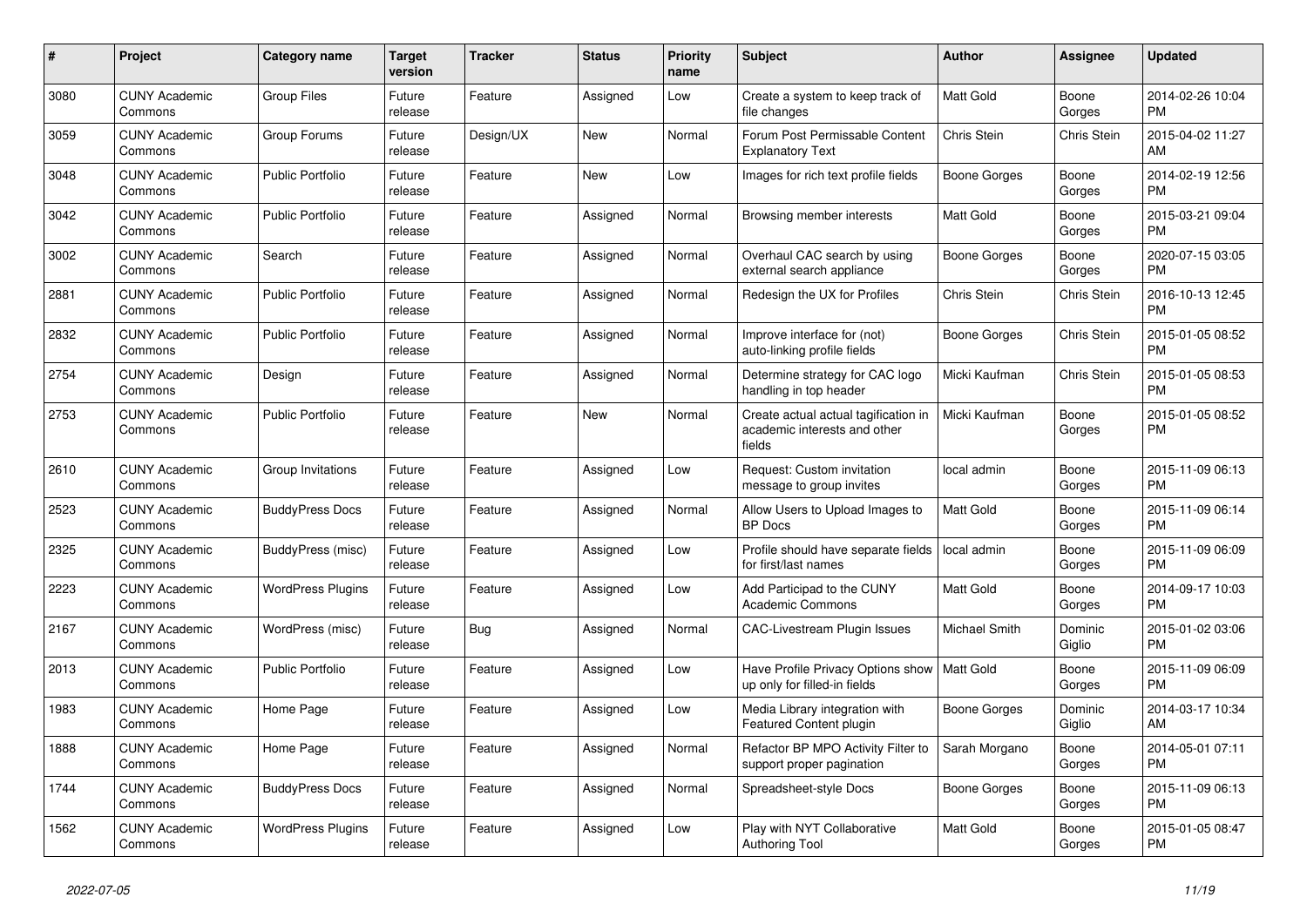| $\#$ | Project                         | <b>Category name</b>     | <b>Target</b><br>version | <b>Tracker</b> | <b>Status</b> | <b>Priority</b><br>name | <b>Subject</b>                                                                 | <b>Author</b>    | <b>Assignee</b>    | <b>Updated</b>                |
|------|---------------------------------|--------------------------|--------------------------|----------------|---------------|-------------------------|--------------------------------------------------------------------------------|------------------|--------------------|-------------------------------|
| 3080 | <b>CUNY Academic</b><br>Commons | <b>Group Files</b>       | Future<br>release        | Feature        | Assigned      | Low                     | Create a system to keep track of<br>file changes                               | <b>Matt Gold</b> | Boone<br>Gorges    | 2014-02-26 10:04<br><b>PM</b> |
| 3059 | <b>CUNY Academic</b><br>Commons | Group Forums             | Future<br>release        | Design/UX      | New           | Normal                  | Forum Post Permissable Content<br><b>Explanatory Text</b>                      | Chris Stein      | Chris Stein        | 2015-04-02 11:27<br>AM        |
| 3048 | <b>CUNY Academic</b><br>Commons | <b>Public Portfolio</b>  | Future<br>release        | Feature        | <b>New</b>    | Low                     | Images for rich text profile fields                                            | Boone Gorges     | Boone<br>Gorges    | 2014-02-19 12:56<br><b>PM</b> |
| 3042 | <b>CUNY Academic</b><br>Commons | <b>Public Portfolio</b>  | Future<br>release        | Feature        | Assigned      | Normal                  | Browsing member interests                                                      | <b>Matt Gold</b> | Boone<br>Gorges    | 2015-03-21 09:04<br><b>PM</b> |
| 3002 | <b>CUNY Academic</b><br>Commons | Search                   | Future<br>release        | Feature        | Assigned      | Normal                  | Overhaul CAC search by using<br>external search appliance                      | Boone Gorges     | Boone<br>Gorges    | 2020-07-15 03:05<br><b>PM</b> |
| 2881 | <b>CUNY Academic</b><br>Commons | <b>Public Portfolio</b>  | Future<br>release        | Feature        | Assigned      | Normal                  | Redesign the UX for Profiles                                                   | Chris Stein      | <b>Chris Stein</b> | 2016-10-13 12:45<br><b>PM</b> |
| 2832 | <b>CUNY Academic</b><br>Commons | Public Portfolio         | Future<br>release        | Feature        | Assigned      | Normal                  | Improve interface for (not)<br>auto-linking profile fields                     | Boone Gorges     | Chris Stein        | 2015-01-05 08:52<br><b>PM</b> |
| 2754 | <b>CUNY Academic</b><br>Commons | Design                   | Future<br>release        | Feature        | Assigned      | Normal                  | Determine strategy for CAC logo<br>handling in top header                      | Micki Kaufman    | <b>Chris Stein</b> | 2015-01-05 08:53<br><b>PM</b> |
| 2753 | <b>CUNY Academic</b><br>Commons | <b>Public Portfolio</b>  | Future<br>release        | Feature        | New           | Normal                  | Create actual actual tagification in<br>academic interests and other<br>fields | Micki Kaufman    | Boone<br>Gorges    | 2015-01-05 08:52<br><b>PM</b> |
| 2610 | <b>CUNY Academic</b><br>Commons | Group Invitations        | Future<br>release        | Feature        | Assigned      | Low                     | Request: Custom invitation<br>message to group invites                         | local admin      | Boone<br>Gorges    | 2015-11-09 06:13<br><b>PM</b> |
| 2523 | <b>CUNY Academic</b><br>Commons | <b>BuddyPress Docs</b>   | Future<br>release        | Feature        | Assigned      | Normal                  | Allow Users to Upload Images to<br><b>BP</b> Docs                              | <b>Matt Gold</b> | Boone<br>Gorges    | 2015-11-09 06:14<br><b>PM</b> |
| 2325 | <b>CUNY Academic</b><br>Commons | BuddyPress (misc)        | Future<br>release        | Feature        | Assigned      | Low                     | Profile should have separate fields<br>for first/last names                    | local admin      | Boone<br>Gorges    | 2015-11-09 06:09<br><b>PM</b> |
| 2223 | <b>CUNY Academic</b><br>Commons | <b>WordPress Plugins</b> | Future<br>release        | Feature        | Assigned      | Low                     | Add Participad to the CUNY<br><b>Academic Commons</b>                          | Matt Gold        | Boone<br>Gorges    | 2014-09-17 10:03<br><b>PM</b> |
| 2167 | <b>CUNY Academic</b><br>Commons | WordPress (misc)         | Future<br>release        | <b>Bug</b>     | Assigned      | Normal                  | <b>CAC-Livestream Plugin Issues</b>                                            | Michael Smith    | Dominic<br>Giglio  | 2015-01-02 03:06<br><b>PM</b> |
| 2013 | <b>CUNY Academic</b><br>Commons | <b>Public Portfolio</b>  | Future<br>release        | Feature        | Assigned      | Low                     | Have Profile Privacy Options show<br>up only for filled-in fields              | Matt Gold        | Boone<br>Gorges    | 2015-11-09 06:09<br>PM        |
| 1983 | <b>CUNY Academic</b><br>Commons | Home Page                | Future<br>release        | Feature        | Assigned      | Low                     | Media Library integration with<br><b>Featured Content plugin</b>               | Boone Gorges     | Dominic<br>Giglio  | 2014-03-17 10:34<br>AM        |
| 1888 | <b>CUNY Academic</b><br>Commons | Home Page                | Future<br>release        | Feature        | Assigned      | Normal                  | Refactor BP MPO Activity Filter to<br>support proper pagination                | Sarah Morgano    | Boone<br>Gorges    | 2014-05-01 07:11<br><b>PM</b> |
| 1744 | <b>CUNY Academic</b><br>Commons | <b>BuddyPress Docs</b>   | Future<br>release        | Feature        | Assigned      | Normal                  | Spreadsheet-style Docs                                                         | Boone Gorges     | Boone<br>Gorges    | 2015-11-09 06:13<br><b>PM</b> |
| 1562 | <b>CUNY Academic</b><br>Commons | <b>WordPress Plugins</b> | Future<br>release        | Feature        | Assigned      | Low                     | Play with NYT Collaborative<br><b>Authoring Tool</b>                           | Matt Gold        | Boone<br>Gorges    | 2015-01-05 08:47<br>PM        |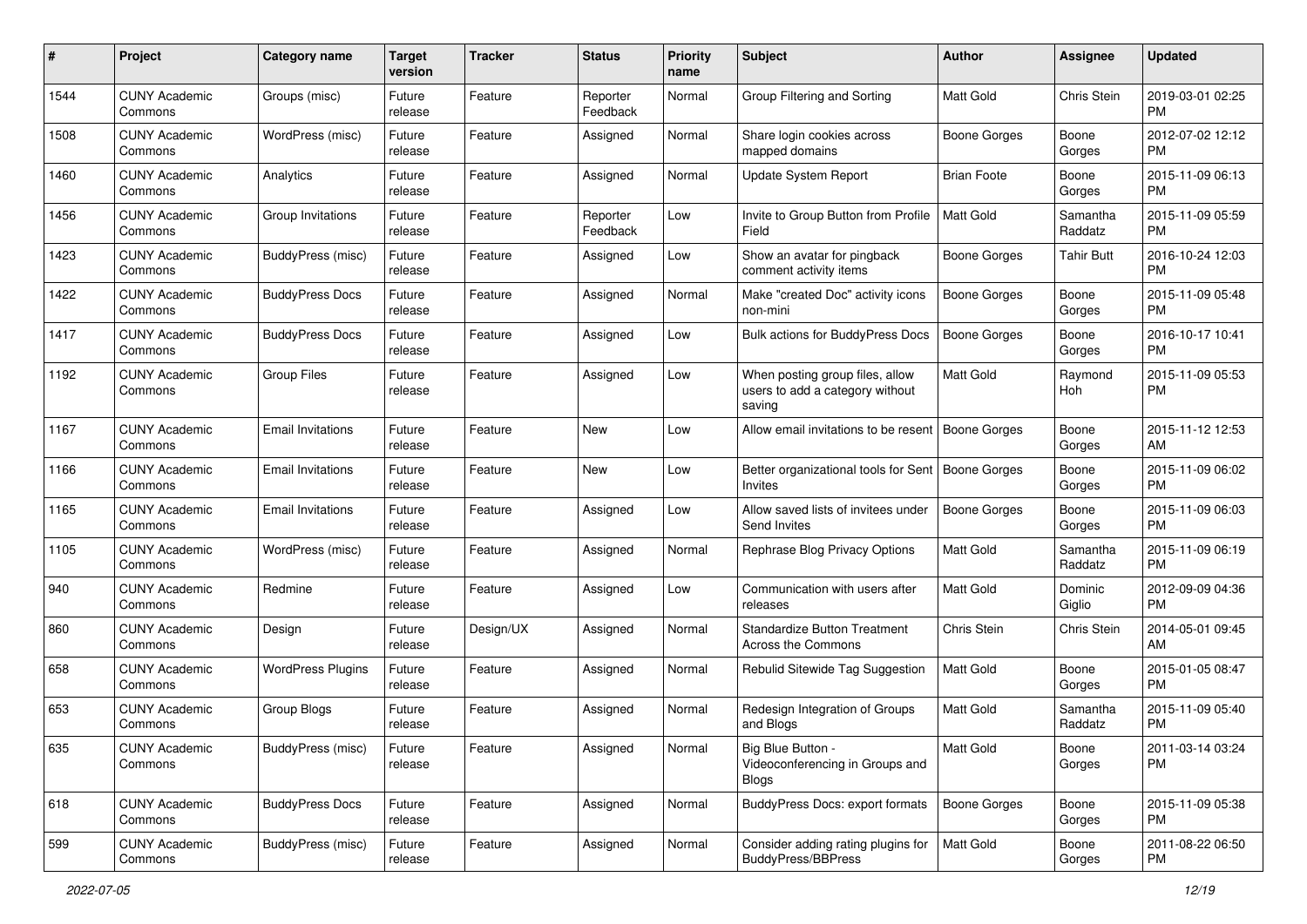| #    | Project                         | <b>Category name</b>     | <b>Target</b><br>version | <b>Tracker</b> | <b>Status</b>        | <b>Priority</b><br>name | <b>Subject</b>                                                               | Author              | <b>Assignee</b>     | <b>Updated</b>                |
|------|---------------------------------|--------------------------|--------------------------|----------------|----------------------|-------------------------|------------------------------------------------------------------------------|---------------------|---------------------|-------------------------------|
| 1544 | <b>CUNY Academic</b><br>Commons | Groups (misc)            | Future<br>release        | Feature        | Reporter<br>Feedback | Normal                  | Group Filtering and Sorting                                                  | <b>Matt Gold</b>    | Chris Stein         | 2019-03-01 02:25<br><b>PM</b> |
| 1508 | <b>CUNY Academic</b><br>Commons | WordPress (misc)         | Future<br>release        | Feature        | Assigned             | Normal                  | Share login cookies across<br>mapped domains                                 | <b>Boone Gorges</b> | Boone<br>Gorges     | 2012-07-02 12:12<br><b>PM</b> |
| 1460 | <b>CUNY Academic</b><br>Commons | Analytics                | Future<br>release        | Feature        | Assigned             | Normal                  | <b>Update System Report</b>                                                  | <b>Brian Foote</b>  | Boone<br>Gorges     | 2015-11-09 06:13<br><b>PM</b> |
| 1456 | <b>CUNY Academic</b><br>Commons | Group Invitations        | Future<br>release        | Feature        | Reporter<br>Feedback | Low                     | Invite to Group Button from Profile<br>Field                                 | <b>Matt Gold</b>    | Samantha<br>Raddatz | 2015-11-09 05:59<br><b>PM</b> |
| 1423 | <b>CUNY Academic</b><br>Commons | BuddyPress (misc)        | Future<br>release        | Feature        | Assigned             | Low                     | Show an avatar for pingback<br>comment activity items                        | <b>Boone Gorges</b> | <b>Tahir Butt</b>   | 2016-10-24 12:03<br><b>PM</b> |
| 1422 | <b>CUNY Academic</b><br>Commons | <b>BuddyPress Docs</b>   | Future<br>release        | Feature        | Assigned             | Normal                  | Make "created Doc" activity icons<br>non-mini                                | <b>Boone Gorges</b> | Boone<br>Gorges     | 2015-11-09 05:48<br><b>PM</b> |
| 1417 | <b>CUNY Academic</b><br>Commons | <b>BuddyPress Docs</b>   | Future<br>release        | Feature        | Assigned             | Low                     | Bulk actions for BuddyPress Docs                                             | <b>Boone Gorges</b> | Boone<br>Gorges     | 2016-10-17 10:41<br><b>PM</b> |
| 1192 | <b>CUNY Academic</b><br>Commons | <b>Group Files</b>       | Future<br>release        | Feature        | Assigned             | Low                     | When posting group files, allow<br>users to add a category without<br>saving | <b>Matt Gold</b>    | Raymond<br>Hoh      | 2015-11-09 05:53<br><b>PM</b> |
| 1167 | <b>CUNY Academic</b><br>Commons | <b>Email Invitations</b> | Future<br>release        | Feature        | New                  | Low                     | Allow email invitations to be resent   Boone Gorges                          |                     | Boone<br>Gorges     | 2015-11-12 12:53<br>AM        |
| 1166 | <b>CUNY Academic</b><br>Commons | <b>Email Invitations</b> | Future<br>release        | Feature        | New                  | Low                     | Better organizational tools for Sent   Boone Gorges<br>Invites               |                     | Boone<br>Gorges     | 2015-11-09 06:02<br><b>PM</b> |
| 1165 | <b>CUNY Academic</b><br>Commons | <b>Email Invitations</b> | Future<br>release        | Feature        | Assigned             | Low                     | Allow saved lists of invitees under<br>Send Invites                          | <b>Boone Gorges</b> | Boone<br>Gorges     | 2015-11-09 06:03<br><b>PM</b> |
| 1105 | <b>CUNY Academic</b><br>Commons | WordPress (misc)         | Future<br>release        | Feature        | Assigned             | Normal                  | Rephrase Blog Privacy Options                                                | <b>Matt Gold</b>    | Samantha<br>Raddatz | 2015-11-09 06:19<br><b>PM</b> |
| 940  | <b>CUNY Academic</b><br>Commons | Redmine                  | Future<br>release        | Feature        | Assigned             | Low                     | Communication with users after<br>releases                                   | <b>Matt Gold</b>    | Dominic<br>Giglio   | 2012-09-09 04:36<br><b>PM</b> |
| 860  | <b>CUNY Academic</b><br>Commons | Design                   | Future<br>release        | Design/UX      | Assigned             | Normal                  | <b>Standardize Button Treatment</b><br>Across the Commons                    | Chris Stein         | Chris Stein         | 2014-05-01 09:45<br>AM        |
| 658  | <b>CUNY Academic</b><br>Commons | <b>WordPress Plugins</b> | Future<br>release        | Feature        | Assigned             | Normal                  | Rebulid Sitewide Tag Suggestion                                              | Matt Gold           | Boone<br>Gorges     | 2015-01-05 08:47<br><b>PM</b> |
| 653  | <b>CUNY Academic</b><br>Commons | Group Blogs              | Future<br>release        | Feature        | Assigned             | Normal                  | Redesign Integration of Groups<br>and Blogs                                  | <b>Matt Gold</b>    | Samantha<br>Raddatz | 2015-11-09 05:40<br><b>PM</b> |
| 635  | <b>CUNY Academic</b><br>Commons | BuddyPress (misc)        | Future<br>release        | Feature        | Assigned             | Normal                  | Big Blue Button -<br>Videoconferencing in Groups and<br><b>Blogs</b>         | Matt Gold           | Boone<br>Gorges     | 2011-03-14 03:24<br><b>PM</b> |
| 618  | <b>CUNY Academic</b><br>Commons | <b>BuddyPress Docs</b>   | Future<br>release        | Feature        | Assigned             | Normal                  | BuddyPress Docs: export formats                                              | Boone Gorges        | Boone<br>Gorges     | 2015-11-09 05:38<br><b>PM</b> |
| 599  | <b>CUNY Academic</b><br>Commons | BuddyPress (misc)        | Future<br>release        | Feature        | Assigned             | Normal                  | Consider adding rating plugins for<br><b>BuddyPress/BBPress</b>              | Matt Gold           | Boone<br>Gorges     | 2011-08-22 06:50<br><b>PM</b> |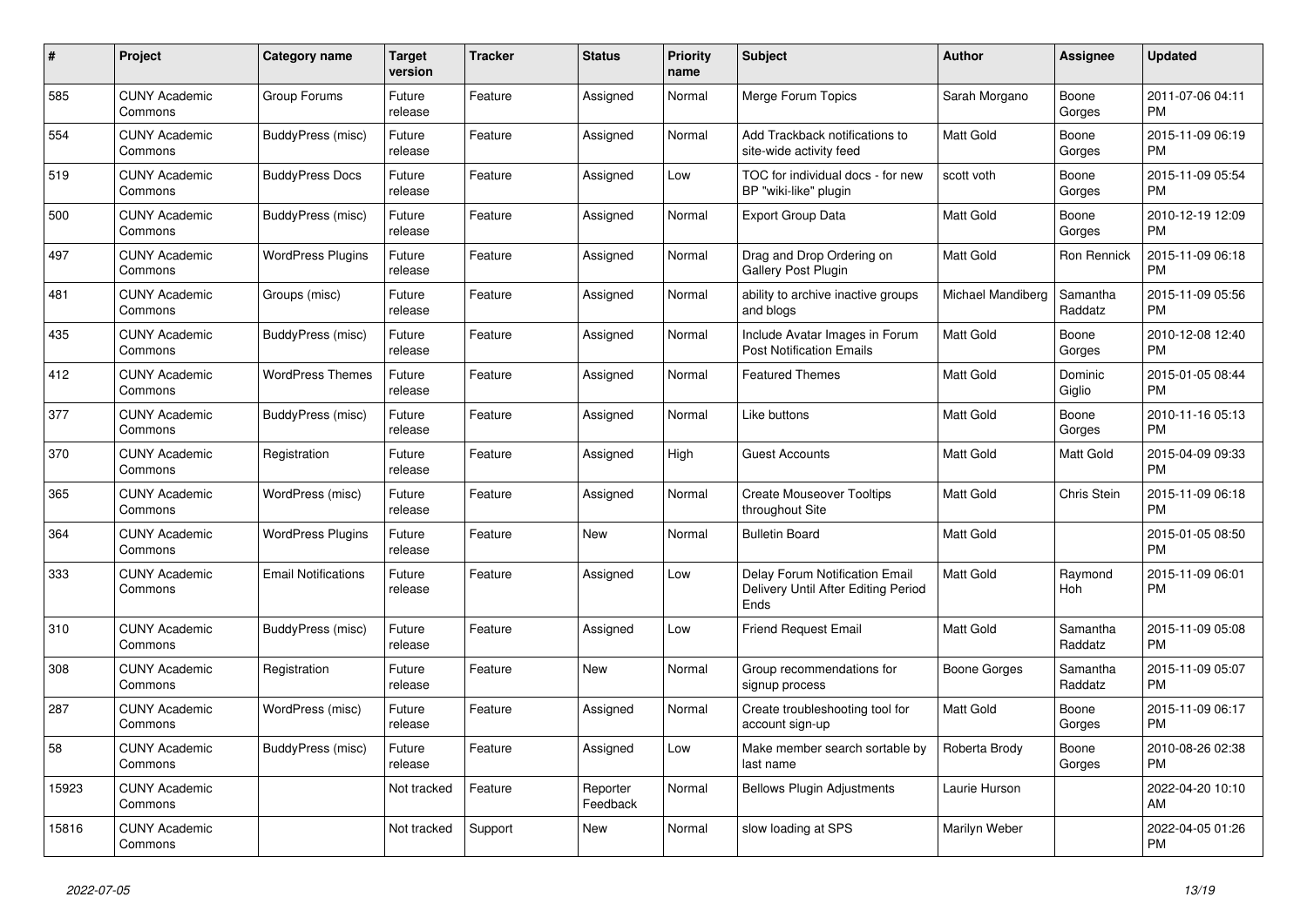| #     | Project                         | <b>Category name</b>       | <b>Target</b><br>version | Tracker | <b>Status</b>        | <b>Priority</b><br>name | <b>Subject</b>                                                                | <b>Author</b>     | Assignee            | <b>Updated</b>                |
|-------|---------------------------------|----------------------------|--------------------------|---------|----------------------|-------------------------|-------------------------------------------------------------------------------|-------------------|---------------------|-------------------------------|
| 585   | <b>CUNY Academic</b><br>Commons | Group Forums               | Future<br>release        | Feature | Assigned             | Normal                  | Merge Forum Topics                                                            | Sarah Morgano     | Boone<br>Gorges     | 2011-07-06 04:11<br><b>PM</b> |
| 554   | <b>CUNY Academic</b><br>Commons | BuddyPress (misc)          | Future<br>release        | Feature | Assigned             | Normal                  | Add Trackback notifications to<br>site-wide activity feed                     | Matt Gold         | Boone<br>Gorges     | 2015-11-09 06:19<br><b>PM</b> |
| 519   | <b>CUNY Academic</b><br>Commons | <b>BuddyPress Docs</b>     | Future<br>release        | Feature | Assigned             | Low                     | TOC for individual docs - for new<br>BP "wiki-like" plugin                    | scott voth        | Boone<br>Gorges     | 2015-11-09 05:54<br><b>PM</b> |
| 500   | <b>CUNY Academic</b><br>Commons | BuddyPress (misc)          | Future<br>release        | Feature | Assigned             | Normal                  | <b>Export Group Data</b>                                                      | <b>Matt Gold</b>  | Boone<br>Gorges     | 2010-12-19 12:09<br><b>PM</b> |
| 497   | <b>CUNY Academic</b><br>Commons | <b>WordPress Plugins</b>   | Future<br>release        | Feature | Assigned             | Normal                  | Drag and Drop Ordering on<br>Gallery Post Plugin                              | Matt Gold         | Ron Rennick         | 2015-11-09 06:18<br><b>PM</b> |
| 481   | <b>CUNY Academic</b><br>Commons | Groups (misc)              | Future<br>release        | Feature | Assigned             | Normal                  | ability to archive inactive groups<br>and blogs                               | Michael Mandiberg | Samantha<br>Raddatz | 2015-11-09 05:56<br><b>PM</b> |
| 435   | <b>CUNY Academic</b><br>Commons | BuddyPress (misc)          | Future<br>release        | Feature | Assigned             | Normal                  | Include Avatar Images in Forum<br><b>Post Notification Emails</b>             | <b>Matt Gold</b>  | Boone<br>Gorges     | 2010-12-08 12:40<br><b>PM</b> |
| 412   | <b>CUNY Academic</b><br>Commons | <b>WordPress Themes</b>    | Future<br>release        | Feature | Assigned             | Normal                  | <b>Featured Themes</b>                                                        | <b>Matt Gold</b>  | Dominic<br>Giglio   | 2015-01-05 08:44<br><b>PM</b> |
| 377   | <b>CUNY Academic</b><br>Commons | BuddyPress (misc)          | Future<br>release        | Feature | Assigned             | Normal                  | Like buttons                                                                  | <b>Matt Gold</b>  | Boone<br>Gorges     | 2010-11-16 05:13<br><b>PM</b> |
| 370   | <b>CUNY Academic</b><br>Commons | Registration               | Future<br>release        | Feature | Assigned             | High                    | <b>Guest Accounts</b>                                                         | <b>Matt Gold</b>  | Matt Gold           | 2015-04-09 09:33<br><b>PM</b> |
| 365   | <b>CUNY Academic</b><br>Commons | WordPress (misc)           | Future<br>release        | Feature | Assigned             | Normal                  | <b>Create Mouseover Tooltips</b><br>throughout Site                           | <b>Matt Gold</b>  | Chris Stein         | 2015-11-09 06:18<br><b>PM</b> |
| 364   | <b>CUNY Academic</b><br>Commons | <b>WordPress Plugins</b>   | Future<br>release        | Feature | New                  | Normal                  | <b>Bulletin Board</b>                                                         | <b>Matt Gold</b>  |                     | 2015-01-05 08:50<br><b>PM</b> |
| 333   | <b>CUNY Academic</b><br>Commons | <b>Email Notifications</b> | Future<br>release        | Feature | Assigned             | Low                     | Delay Forum Notification Email<br>Delivery Until After Editing Period<br>Ends | Matt Gold         | Raymond<br>Hoh      | 2015-11-09 06:01<br><b>PM</b> |
| 310   | <b>CUNY Academic</b><br>Commons | BuddyPress (misc)          | Future<br>release        | Feature | Assigned             | Low                     | Friend Request Email                                                          | <b>Matt Gold</b>  | Samantha<br>Raddatz | 2015-11-09 05:08<br><b>PM</b> |
| 308   | <b>CUNY Academic</b><br>Commons | Registration               | Future<br>release        | Feature | New                  | Normal                  | Group recommendations for<br>signup process                                   | Boone Gorges      | Samantha<br>Raddatz | 2015-11-09 05:07<br><b>PM</b> |
| 287   | <b>CUNY Academic</b><br>Commons | WordPress (misc)           | Future<br>release        | Feature | Assigned             | Normal                  | Create troubleshooting tool for<br>account sign-up                            | <b>Matt Gold</b>  | Boone<br>Gorges     | 2015-11-09 06:17<br><b>PM</b> |
| 58    | <b>CUNY Academic</b><br>Commons | <b>BuddyPress (misc)</b>   | Future<br>release        | Feature | Assigned             | Low                     | Make member search sortable by<br>last name                                   | Roberta Brody     | Boone<br>Gorges     | 2010-08-26 02:38<br><b>PM</b> |
| 15923 | <b>CUNY Academic</b><br>Commons |                            | Not tracked              | Feature | Reporter<br>Feedback | Normal                  | <b>Bellows Plugin Adjustments</b>                                             | Laurie Hurson     |                     | 2022-04-20 10:10<br>AM        |
| 15816 | <b>CUNY Academic</b><br>Commons |                            | Not tracked              | Support | <b>New</b>           | Normal                  | slow loading at SPS                                                           | Marilyn Weber     |                     | 2022-04-05 01:26<br><b>PM</b> |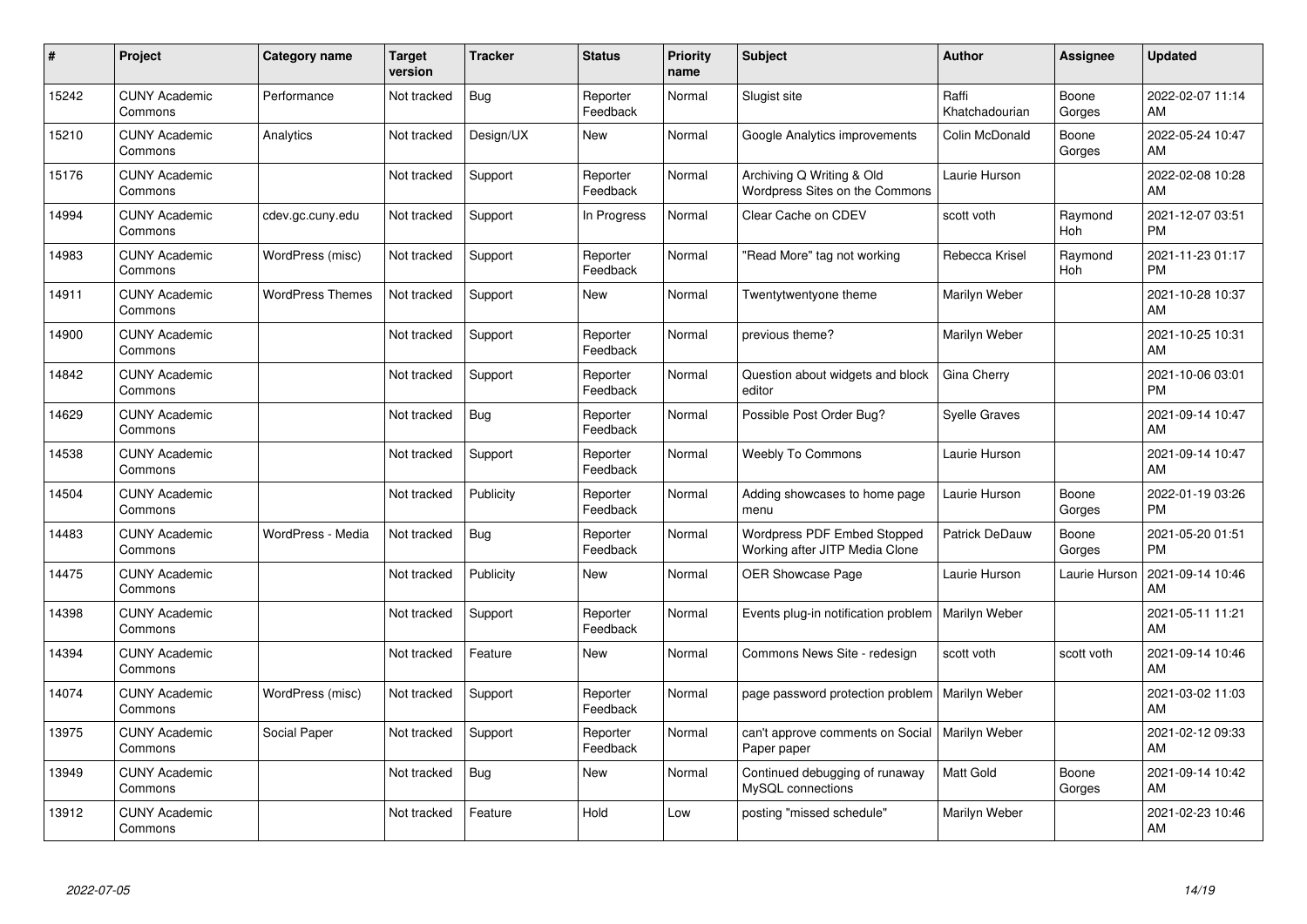| #     | Project                         | <b>Category name</b>    | Target<br>version | <b>Tracker</b> | <b>Status</b>        | <b>Priority</b><br>name | <b>Subject</b>                                                  | <b>Author</b>           | <b>Assignee</b> | <b>Updated</b>                |
|-------|---------------------------------|-------------------------|-------------------|----------------|----------------------|-------------------------|-----------------------------------------------------------------|-------------------------|-----------------|-------------------------------|
| 15242 | <b>CUNY Academic</b><br>Commons | Performance             | Not tracked       | Bug            | Reporter<br>Feedback | Normal                  | Slugist site                                                    | Raffi<br>Khatchadourian | Boone<br>Gorges | 2022-02-07 11:14<br>AM        |
| 15210 | <b>CUNY Academic</b><br>Commons | Analytics               | Not tracked       | Design/UX      | New                  | Normal                  | Google Analytics improvements                                   | Colin McDonald          | Boone<br>Gorges | 2022-05-24 10:47<br>AM        |
| 15176 | <b>CUNY Academic</b><br>Commons |                         | Not tracked       | Support        | Reporter<br>Feedback | Normal                  | Archiving Q Writing & Old<br>Wordpress Sites on the Commons     | Laurie Hurson           |                 | 2022-02-08 10:28<br>AM        |
| 14994 | <b>CUNY Academic</b><br>Commons | cdev.gc.cuny.edu        | Not tracked       | Support        | In Progress          | Normal                  | Clear Cache on CDEV                                             | scott voth              | Raymond<br>Hoh  | 2021-12-07 03:51<br><b>PM</b> |
| 14983 | <b>CUNY Academic</b><br>Commons | WordPress (misc)        | Not tracked       | Support        | Reporter<br>Feedback | Normal                  | "Read More" tag not working                                     | Rebecca Krisel          | Raymond<br>Hoh  | 2021-11-23 01:17<br><b>PM</b> |
| 14911 | <b>CUNY Academic</b><br>Commons | <b>WordPress Themes</b> | Not tracked       | Support        | New                  | Normal                  | Twentytwentyone theme                                           | Marilyn Weber           |                 | 2021-10-28 10:37<br>AM        |
| 14900 | <b>CUNY Academic</b><br>Commons |                         | Not tracked       | Support        | Reporter<br>Feedback | Normal                  | previous theme?                                                 | Marilyn Weber           |                 | 2021-10-25 10:31<br>AM        |
| 14842 | <b>CUNY Academic</b><br>Commons |                         | Not tracked       | Support        | Reporter<br>Feedback | Normal                  | Question about widgets and block<br>editor                      | Gina Cherry             |                 | 2021-10-06 03:01<br><b>PM</b> |
| 14629 | <b>CUNY Academic</b><br>Commons |                         | Not tracked       | Bug            | Reporter<br>Feedback | Normal                  | Possible Post Order Bug?                                        | <b>Syelle Graves</b>    |                 | 2021-09-14 10:47<br>AM        |
| 14538 | <b>CUNY Academic</b><br>Commons |                         | Not tracked       | Support        | Reporter<br>Feedback | Normal                  | <b>Weebly To Commons</b>                                        | Laurie Hurson           |                 | 2021-09-14 10:47<br>AM        |
| 14504 | <b>CUNY Academic</b><br>Commons |                         | Not tracked       | Publicity      | Reporter<br>Feedback | Normal                  | Adding showcases to home page<br>menu                           | Laurie Hurson           | Boone<br>Gorges | 2022-01-19 03:26<br><b>PM</b> |
| 14483 | <b>CUNY Academic</b><br>Commons | WordPress - Media       | Not tracked       | <b>Bug</b>     | Reporter<br>Feedback | Normal                  | Wordpress PDF Embed Stopped<br>Working after JITP Media Clone   | Patrick DeDauw          | Boone<br>Gorges | 2021-05-20 01:51<br><b>PM</b> |
| 14475 | <b>CUNY Academic</b><br>Commons |                         | Not tracked       | Publicity      | New                  | Normal                  | <b>OER Showcase Page</b>                                        | Laurie Hurson           | Laurie Hurson   | 2021-09-14 10:46<br>AM        |
| 14398 | <b>CUNY Academic</b><br>Commons |                         | Not tracked       | Support        | Reporter<br>Feedback | Normal                  | Events plug-in notification problem                             | Marilyn Weber           |                 | 2021-05-11 11:21<br>AM        |
| 14394 | <b>CUNY Academic</b><br>Commons |                         | Not tracked       | Feature        | New                  | Normal                  | Commons News Site - redesign                                    | scott voth              | scott voth      | 2021-09-14 10:46<br>AM        |
| 14074 | <b>CUNY Academic</b><br>Commons | WordPress (misc)        | Not tracked       | Support        | Reporter<br>Feedback | Normal                  | page password protection problem                                | Marilyn Weber           |                 | 2021-03-02 11:03<br>AM        |
| 13975 | <b>CUNY Academic</b><br>Commons | Social Paper            | Not tracked       | Support        | Reporter<br>Feedback | Normal                  | can't approve comments on Social   Marilyn Weber<br>Paper paper |                         |                 | 2021-02-12 09:33<br>AM        |
| 13949 | <b>CUNY Academic</b><br>Commons |                         | Not tracked       | Bug            | New                  | Normal                  | Continued debugging of runaway<br>MySQL connections             | <b>Matt Gold</b>        | Boone<br>Gorges | 2021-09-14 10:42<br>AM        |
| 13912 | <b>CUNY Academic</b><br>Commons |                         | Not tracked       | Feature        | Hold                 | Low                     | posting "missed schedule"                                       | Marilyn Weber           |                 | 2021-02-23 10:46<br>AM        |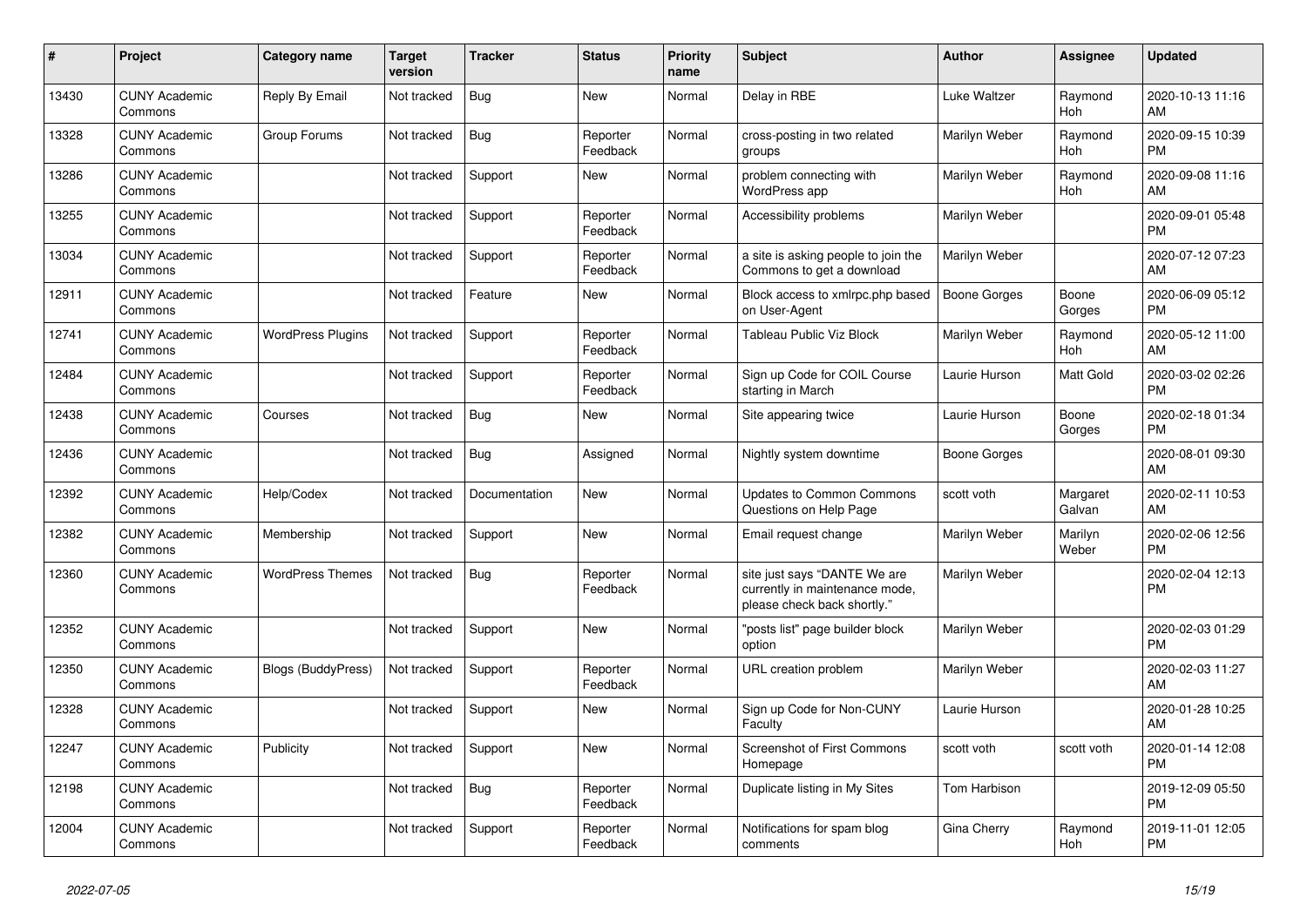| $\#$  | Project                         | Category name             | <b>Target</b><br>version | <b>Tracker</b> | <b>Status</b>        | <b>Priority</b><br>name | <b>Subject</b>                                                                                | <b>Author</b>       | Assignee           | <b>Updated</b>                |
|-------|---------------------------------|---------------------------|--------------------------|----------------|----------------------|-------------------------|-----------------------------------------------------------------------------------------------|---------------------|--------------------|-------------------------------|
| 13430 | <b>CUNY Academic</b><br>Commons | Reply By Email            | Not tracked              | Bug            | <b>New</b>           | Normal                  | Delay in RBE                                                                                  | Luke Waltzer        | Raymond<br>Hoh     | 2020-10-13 11:16<br>AM        |
| 13328 | <b>CUNY Academic</b><br>Commons | Group Forums              | Not tracked              | Bug            | Reporter<br>Feedback | Normal                  | cross-posting in two related<br>groups                                                        | Marilyn Weber       | Raymond<br>Hoh     | 2020-09-15 10:39<br><b>PM</b> |
| 13286 | <b>CUNY Academic</b><br>Commons |                           | Not tracked              | Support        | New                  | Normal                  | problem connecting with<br>WordPress app                                                      | Marilyn Weber       | Raymond<br>Hoh     | 2020-09-08 11:16<br>AM        |
| 13255 | <b>CUNY Academic</b><br>Commons |                           | Not tracked              | Support        | Reporter<br>Feedback | Normal                  | Accessibility problems                                                                        | Marilyn Weber       |                    | 2020-09-01 05:48<br><b>PM</b> |
| 13034 | <b>CUNY Academic</b><br>Commons |                           | Not tracked              | Support        | Reporter<br>Feedback | Normal                  | a site is asking people to join the<br>Commons to get a download                              | Marilyn Weber       |                    | 2020-07-12 07:23<br>AM        |
| 12911 | <b>CUNY Academic</b><br>Commons |                           | Not tracked              | Feature        | New                  | Normal                  | Block access to xmlrpc.php based<br>on User-Agent                                             | Boone Gorges        | Boone<br>Gorges    | 2020-06-09 05:12<br><b>PM</b> |
| 12741 | <b>CUNY Academic</b><br>Commons | <b>WordPress Plugins</b>  | Not tracked              | Support        | Reporter<br>Feedback | Normal                  | Tableau Public Viz Block                                                                      | Marilyn Weber       | Raymond<br>Hoh     | 2020-05-12 11:00<br>AM        |
| 12484 | <b>CUNY Academic</b><br>Commons |                           | Not tracked              | Support        | Reporter<br>Feedback | Normal                  | Sign up Code for COIL Course<br>starting in March                                             | Laurie Hurson       | Matt Gold          | 2020-03-02 02:26<br><b>PM</b> |
| 12438 | <b>CUNY Academic</b><br>Commons | Courses                   | Not tracked              | <b>Bug</b>     | New                  | Normal                  | Site appearing twice                                                                          | Laurie Hurson       | Boone<br>Gorges    | 2020-02-18 01:34<br><b>PM</b> |
| 12436 | <b>CUNY Academic</b><br>Commons |                           | Not tracked              | Bug            | Assigned             | Normal                  | Nightly system downtime                                                                       | Boone Gorges        |                    | 2020-08-01 09:30<br>AM        |
| 12392 | <b>CUNY Academic</b><br>Commons | Help/Codex                | Not tracked              | Documentation  | New                  | Normal                  | <b>Updates to Common Commons</b><br>Questions on Help Page                                    | scott voth          | Margaret<br>Galvan | 2020-02-11 10:53<br>AM        |
| 12382 | <b>CUNY Academic</b><br>Commons | Membership                | Not tracked              | Support        | <b>New</b>           | Normal                  | Email request change                                                                          | Marilyn Weber       | Marilyn<br>Weber   | 2020-02-06 12:56<br><b>PM</b> |
| 12360 | <b>CUNY Academic</b><br>Commons | <b>WordPress Themes</b>   | Not tracked              | Bug            | Reporter<br>Feedback | Normal                  | site just says "DANTE We are<br>currently in maintenance mode,<br>please check back shortly." | Marilyn Weber       |                    | 2020-02-04 12:13<br><b>PM</b> |
| 12352 | <b>CUNY Academic</b><br>Commons |                           | Not tracked              | Support        | New                  | Normal                  | "posts list" page builder block<br>option                                                     | Marilyn Weber       |                    | 2020-02-03 01:29<br><b>PM</b> |
| 12350 | <b>CUNY Academic</b><br>Commons | <b>Blogs (BuddyPress)</b> | Not tracked              | Support        | Reporter<br>Feedback | Normal                  | URL creation problem                                                                          | Marilyn Weber       |                    | 2020-02-03 11:27<br>AM        |
| 12328 | <b>CUNY Academic</b><br>Commons |                           | Not tracked              | Support        | <b>New</b>           | Normal                  | Sign up Code for Non-CUNY<br>Faculty                                                          | Laurie Hurson       |                    | 2020-01-28 10:25<br>AM        |
| 12247 | <b>CUNY Academic</b><br>Commons | Publicity                 | Not tracked              | Support        | <b>New</b>           | Normal                  | <b>Screenshot of First Commons</b><br>Homepage                                                | scott voth          | scott voth         | 2020-01-14 12:08<br><b>PM</b> |
| 12198 | <b>CUNY Academic</b><br>Commons |                           | Not tracked              | Bug            | Reporter<br>Feedback | Normal                  | Duplicate listing in My Sites                                                                 | <b>Tom Harbison</b> |                    | 2019-12-09 05:50<br><b>PM</b> |
| 12004 | <b>CUNY Academic</b><br>Commons |                           | Not tracked              | Support        | Reporter<br>Feedback | Normal                  | Notifications for spam blog<br>comments                                                       | Gina Cherry         | Raymond<br>Hoh     | 2019-11-01 12:05<br><b>PM</b> |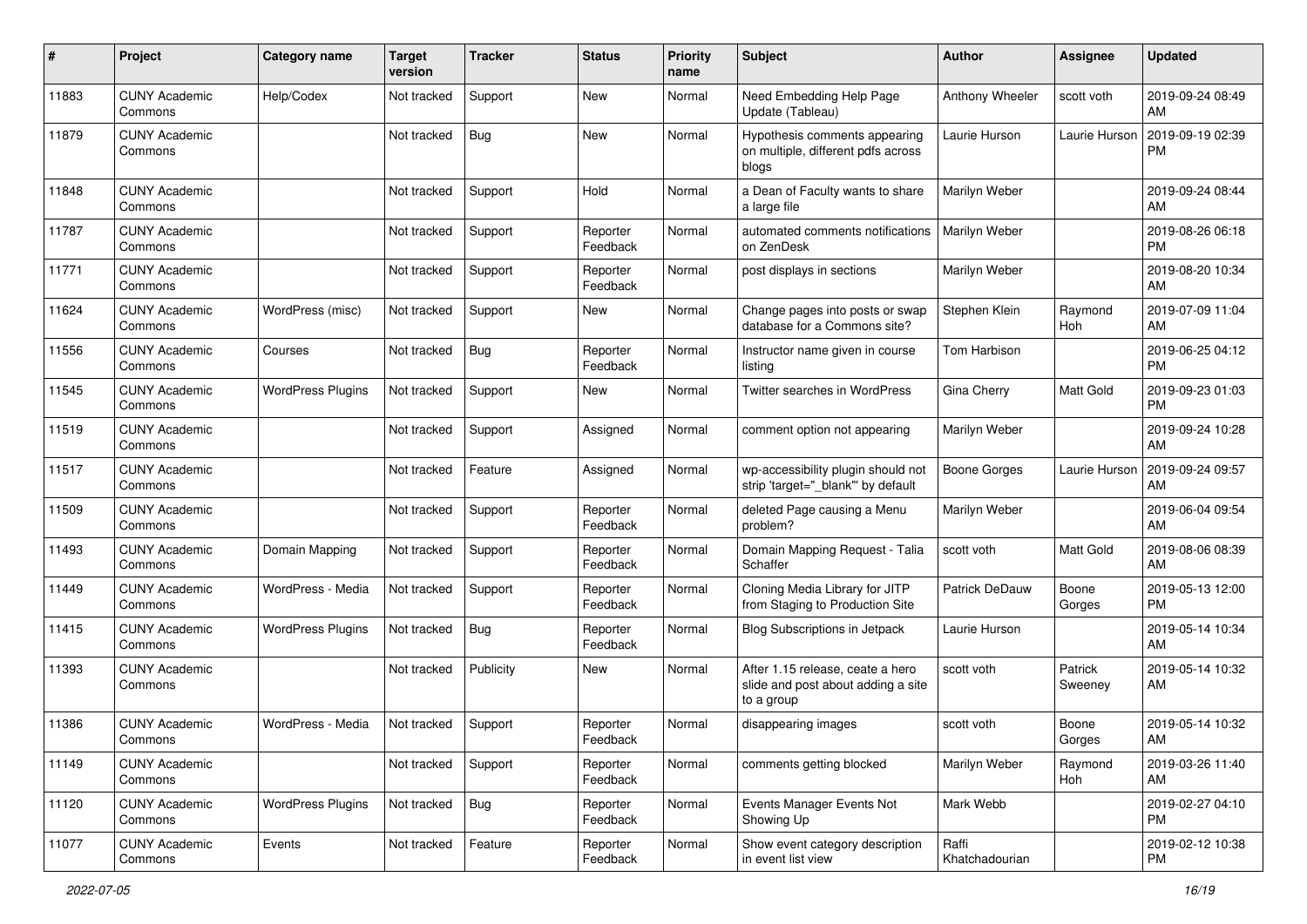| #     | Project                         | <b>Category name</b>     | <b>Target</b><br>version | <b>Tracker</b> | <b>Status</b>        | <b>Priority</b><br>name | Subject                                                                              | Author                  | <b>Assignee</b>    | <b>Updated</b>                |
|-------|---------------------------------|--------------------------|--------------------------|----------------|----------------------|-------------------------|--------------------------------------------------------------------------------------|-------------------------|--------------------|-------------------------------|
| 11883 | <b>CUNY Academic</b><br>Commons | Help/Codex               | Not tracked              | Support        | <b>New</b>           | Normal                  | Need Embedding Help Page<br>Update (Tableau)                                         | Anthony Wheeler         | scott voth         | 2019-09-24 08:49<br>AM        |
| 11879 | <b>CUNY Academic</b><br>Commons |                          | Not tracked              | <b>Bug</b>     | New                  | Normal                  | Hypothesis comments appearing<br>on multiple, different pdfs across<br>blogs         | Laurie Hurson           | Laurie Hurson      | 2019-09-19 02:39<br><b>PM</b> |
| 11848 | <b>CUNY Academic</b><br>Commons |                          | Not tracked              | Support        | Hold                 | Normal                  | a Dean of Faculty wants to share<br>a large file                                     | Marilyn Weber           |                    | 2019-09-24 08:44<br>AM        |
| 11787 | <b>CUNY Academic</b><br>Commons |                          | Not tracked              | Support        | Reporter<br>Feedback | Normal                  | automated comments notifications<br>on ZenDesk                                       | Marilyn Weber           |                    | 2019-08-26 06:18<br><b>PM</b> |
| 11771 | <b>CUNY Academic</b><br>Commons |                          | Not tracked              | Support        | Reporter<br>Feedback | Normal                  | post displays in sections                                                            | Marilyn Weber           |                    | 2019-08-20 10:34<br>AM        |
| 11624 | <b>CUNY Academic</b><br>Commons | WordPress (misc)         | Not tracked              | Support        | New                  | Normal                  | Change pages into posts or swap<br>database for a Commons site?                      | Stephen Klein           | Raymond<br>Hoh     | 2019-07-09 11:04<br>AM        |
| 11556 | <b>CUNY Academic</b><br>Commons | Courses                  | Not tracked              | Bug            | Reporter<br>Feedback | Normal                  | Instructor name given in course<br>listing                                           | Tom Harbison            |                    | 2019-06-25 04:12<br><b>PM</b> |
| 11545 | <b>CUNY Academic</b><br>Commons | <b>WordPress Plugins</b> | Not tracked              | Support        | New                  | Normal                  | Twitter searches in WordPress                                                        | Gina Cherry             | Matt Gold          | 2019-09-23 01:03<br><b>PM</b> |
| 11519 | <b>CUNY Academic</b><br>Commons |                          | Not tracked              | Support        | Assigned             | Normal                  | comment option not appearing                                                         | Marilyn Weber           |                    | 2019-09-24 10:28<br>AM        |
| 11517 | <b>CUNY Academic</b><br>Commons |                          | Not tracked              | Feature        | Assigned             | Normal                  | wp-accessibility plugin should not<br>strip 'target="_blank" by default              | <b>Boone Gorges</b>     | Laurie Hurson      | 2019-09-24 09:57<br>AM        |
| 11509 | <b>CUNY Academic</b><br>Commons |                          | Not tracked              | Support        | Reporter<br>Feedback | Normal                  | deleted Page causing a Menu<br>problem?                                              | Marilyn Weber           |                    | 2019-06-04 09:54<br>AM        |
| 11493 | <b>CUNY Academic</b><br>Commons | Domain Mapping           | Not tracked              | Support        | Reporter<br>Feedback | Normal                  | Domain Mapping Request - Talia<br>Schaffer                                           | scott voth              | Matt Gold          | 2019-08-06 08:39<br>AM        |
| 11449 | <b>CUNY Academic</b><br>Commons | WordPress - Media        | Not tracked              | Support        | Reporter<br>Feedback | Normal                  | Cloning Media Library for JITP<br>from Staging to Production Site                    | Patrick DeDauw          | Boone<br>Gorges    | 2019-05-13 12:00<br><b>PM</b> |
| 11415 | <b>CUNY Academic</b><br>Commons | <b>WordPress Plugins</b> | Not tracked              | Bug            | Reporter<br>Feedback | Normal                  | Blog Subscriptions in Jetpack                                                        | Laurie Hurson           |                    | 2019-05-14 10:34<br>AM        |
| 11393 | <b>CUNY Academic</b><br>Commons |                          | Not tracked              | Publicity      | New                  | Normal                  | After 1.15 release, ceate a hero<br>slide and post about adding a site<br>to a group | scott voth              | Patrick<br>Sweeney | 2019-05-14 10:32<br>AM        |
| 11386 | <b>CUNY Academic</b><br>Commons | WordPress - Media        | Not tracked              | Support        | Reporter<br>Feedback | Normal                  | disappearing images                                                                  | scott voth              | Boone<br>Gorges    | 2019-05-14 10:32<br>AM        |
| 11149 | <b>CUNY Academic</b><br>Commons |                          | Not tracked              | Support        | Reporter<br>Feedback | Normal                  | comments getting blocked                                                             | Marilyn Weber           | Raymond<br>Hoh     | 2019-03-26 11:40<br>AM        |
| 11120 | <b>CUNY Academic</b><br>Commons | <b>WordPress Plugins</b> | Not tracked              | Bug            | Reporter<br>Feedback | Normal                  | Events Manager Events Not<br>Showing Up                                              | Mark Webb               |                    | 2019-02-27 04:10<br><b>PM</b> |
| 11077 | <b>CUNY Academic</b><br>Commons | Events                   | Not tracked              | Feature        | Reporter<br>Feedback | Normal                  | Show event category description<br>in event list view                                | Raffi<br>Khatchadourian |                    | 2019-02-12 10:38<br><b>PM</b> |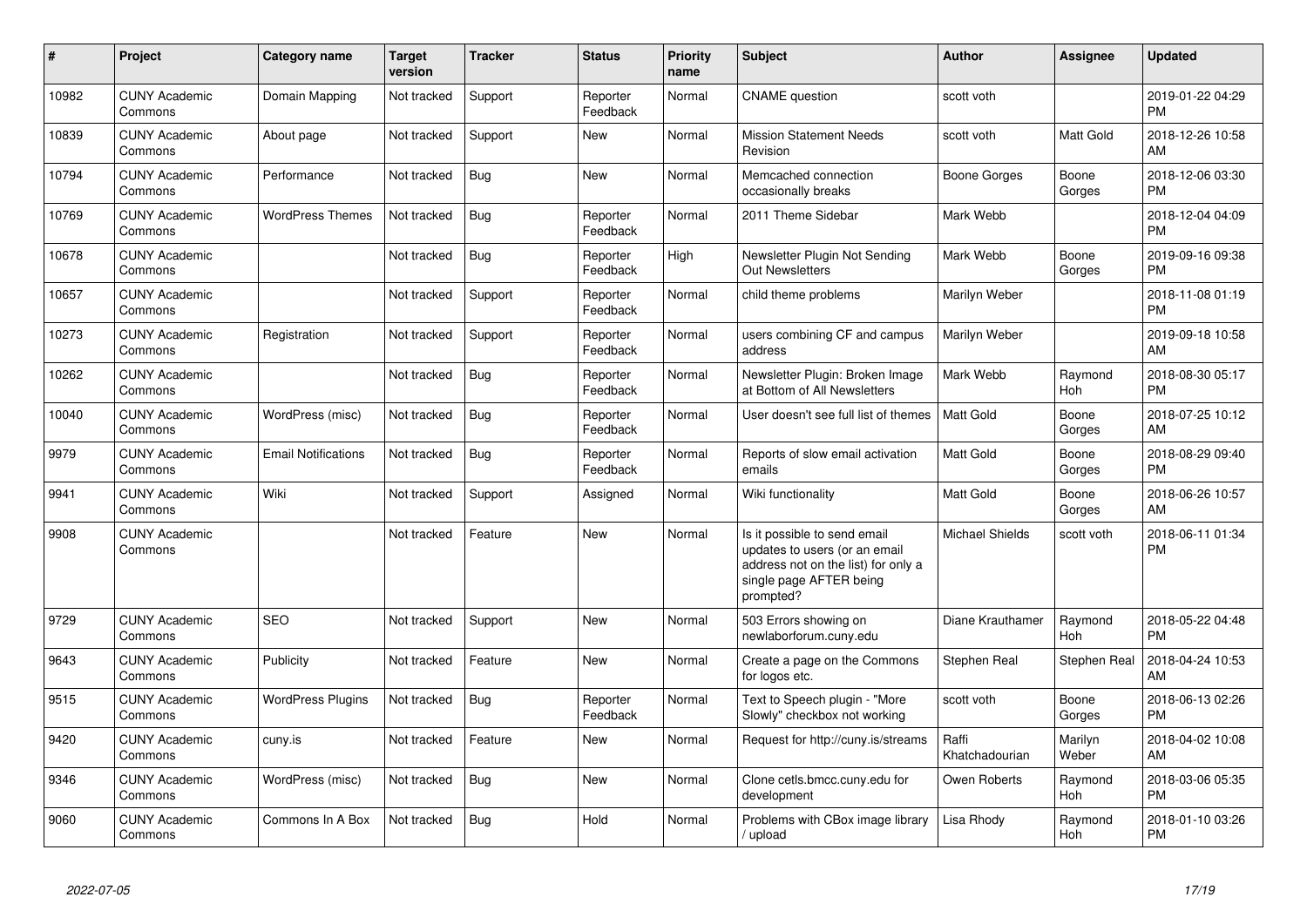| #     | Project                         | <b>Category name</b>       | <b>Target</b><br>version | <b>Tracker</b> | <b>Status</b>        | <b>Priority</b><br>name | <b>Subject</b>                                                                                                                               | <b>Author</b>           | Assignee         | <b>Updated</b>                |
|-------|---------------------------------|----------------------------|--------------------------|----------------|----------------------|-------------------------|----------------------------------------------------------------------------------------------------------------------------------------------|-------------------------|------------------|-------------------------------|
| 10982 | <b>CUNY Academic</b><br>Commons | Domain Mapping             | Not tracked              | Support        | Reporter<br>Feedback | Normal                  | <b>CNAME</b> question                                                                                                                        | scott voth              |                  | 2019-01-22 04:29<br><b>PM</b> |
| 10839 | <b>CUNY Academic</b><br>Commons | About page                 | Not tracked              | Support        | <b>New</b>           | Normal                  | <b>Mission Statement Needs</b><br>Revision                                                                                                   | scott voth              | Matt Gold        | 2018-12-26 10:58<br>AM        |
| 10794 | <b>CUNY Academic</b><br>Commons | Performance                | Not tracked              | Bug            | New                  | Normal                  | Memcached connection<br>occasionally breaks                                                                                                  | Boone Gorges            | Boone<br>Gorges  | 2018-12-06 03:30<br><b>PM</b> |
| 10769 | <b>CUNY Academic</b><br>Commons | <b>WordPress Themes</b>    | Not tracked              | Bug            | Reporter<br>Feedback | Normal                  | 2011 Theme Sidebar                                                                                                                           | Mark Webb               |                  | 2018-12-04 04:09<br><b>PM</b> |
| 10678 | <b>CUNY Academic</b><br>Commons |                            | Not tracked              | <b>Bug</b>     | Reporter<br>Feedback | High                    | Newsletter Plugin Not Sending<br><b>Out Newsletters</b>                                                                                      | Mark Webb               | Boone<br>Gorges  | 2019-09-16 09:38<br><b>PM</b> |
| 10657 | <b>CUNY Academic</b><br>Commons |                            | Not tracked              | Support        | Reporter<br>Feedback | Normal                  | child theme problems                                                                                                                         | Marilyn Weber           |                  | 2018-11-08 01:19<br><b>PM</b> |
| 10273 | <b>CUNY Academic</b><br>Commons | Registration               | Not tracked              | Support        | Reporter<br>Feedback | Normal                  | users combining CF and campus<br>address                                                                                                     | Marilyn Weber           |                  | 2019-09-18 10:58<br>AM        |
| 10262 | <b>CUNY Academic</b><br>Commons |                            | Not tracked              | Bug            | Reporter<br>Feedback | Normal                  | Newsletter Plugin: Broken Image<br>at Bottom of All Newsletters                                                                              | Mark Webb               | Raymond<br>Hoh   | 2018-08-30 05:17<br><b>PM</b> |
| 10040 | <b>CUNY Academic</b><br>Commons | WordPress (misc)           | Not tracked              | Bug            | Reporter<br>Feedback | Normal                  | User doesn't see full list of themes                                                                                                         | <b>Matt Gold</b>        | Boone<br>Gorges  | 2018-07-25 10:12<br>AM        |
| 9979  | <b>CUNY Academic</b><br>Commons | <b>Email Notifications</b> | Not tracked              | <b>Bug</b>     | Reporter<br>Feedback | Normal                  | Reports of slow email activation<br>emails                                                                                                   | <b>Matt Gold</b>        | Boone<br>Gorges  | 2018-08-29 09:40<br><b>PM</b> |
| 9941  | <b>CUNY Academic</b><br>Commons | Wiki                       | Not tracked              | Support        | Assigned             | Normal                  | Wiki functionality                                                                                                                           | <b>Matt Gold</b>        | Boone<br>Gorges  | 2018-06-26 10:57<br>AM        |
| 9908  | <b>CUNY Academic</b><br>Commons |                            | Not tracked              | Feature        | New                  | Normal                  | Is it possible to send email<br>updates to users (or an email<br>address not on the list) for only a<br>single page AFTER being<br>prompted? | <b>Michael Shields</b>  | scott voth       | 2018-06-11 01:34<br><b>PM</b> |
| 9729  | <b>CUNY Academic</b><br>Commons | <b>SEO</b>                 | Not tracked              | Support        | <b>New</b>           | Normal                  | 503 Errors showing on<br>newlaborforum.cuny.edu                                                                                              | Diane Krauthamer        | Raymond<br>Hoh   | 2018-05-22 04:48<br><b>PM</b> |
| 9643  | <b>CUNY Academic</b><br>Commons | Publicity                  | Not tracked              | Feature        | New                  | Normal                  | Create a page on the Commons<br>for logos etc.                                                                                               | Stephen Real            | Stephen Real     | 2018-04-24 10:53<br>AM        |
| 9515  | <b>CUNY Academic</b><br>Commons | <b>WordPress Plugins</b>   | Not tracked              | Bug            | Reporter<br>Feedback | Normal                  | Text to Speech plugin - "More<br>Slowly" checkbox not working                                                                                | scott voth              | Boone<br>Gorges  | 2018-06-13 02:26<br><b>PM</b> |
| 9420  | <b>CUNY Academic</b><br>Commons | cuny.is                    | Not tracked              | Feature        | New                  | Normal                  | Request for http://cuny.is/streams                                                                                                           | Raffi<br>Khatchadourian | Marilyn<br>Weber | 2018-04-02 10:08<br>AM        |
| 9346  | <b>CUNY Academic</b><br>Commons | WordPress (misc)           | Not tracked              | Bug            | New                  | Normal                  | Clone cetls.bmcc.cuny.edu for<br>development                                                                                                 | Owen Roberts            | Raymond<br>Hoh   | 2018-03-06 05:35<br><b>PM</b> |
| 9060  | <b>CUNY Academic</b><br>Commons | Commons In A Box           | Not tracked              | Bug            | Hold                 | Normal                  | Problems with CBox image library<br>/ upload                                                                                                 | Lisa Rhody              | Raymond<br>Hoh   | 2018-01-10 03:26<br><b>PM</b> |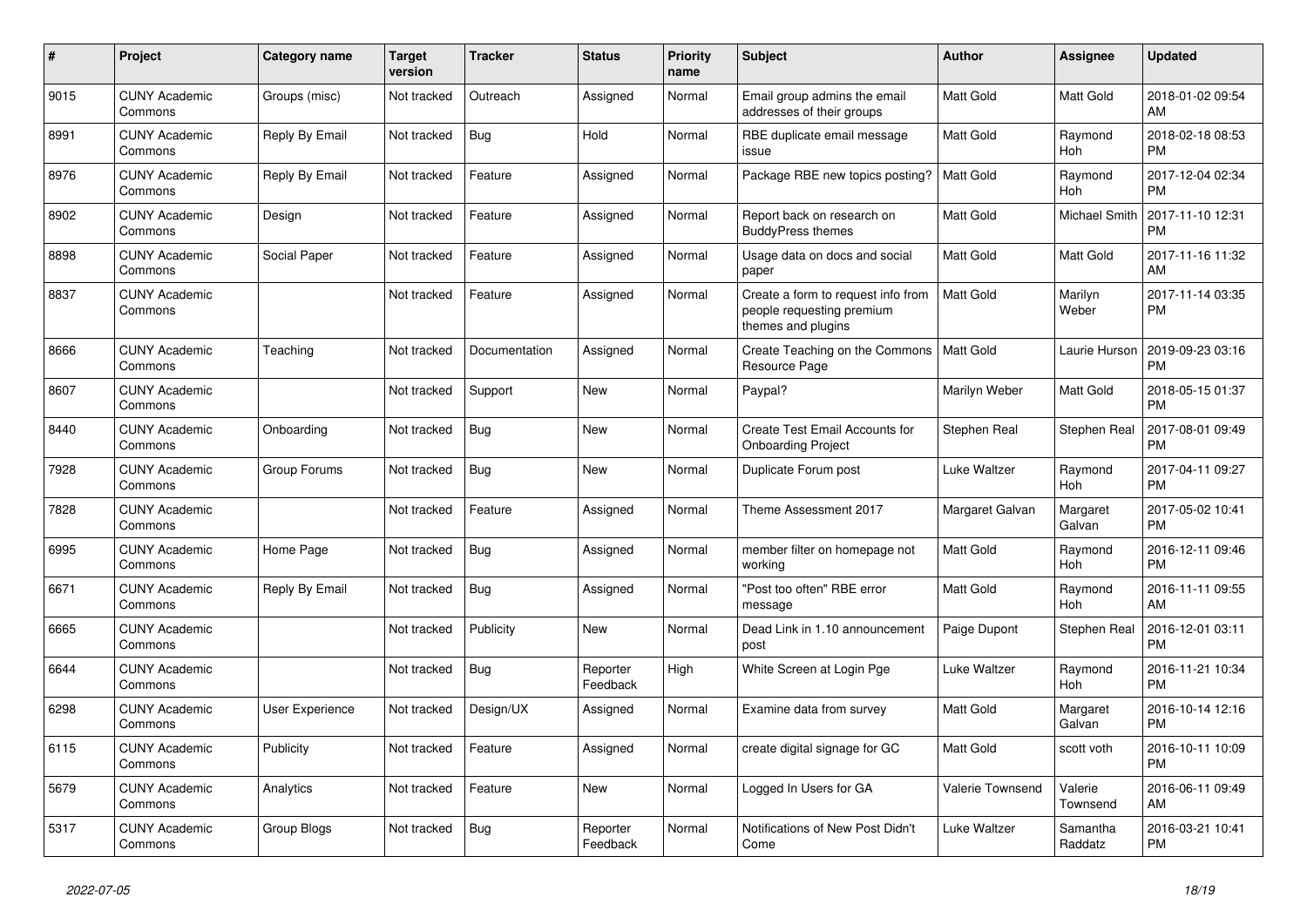| $\#$ | <b>Project</b>                  | <b>Category name</b> | <b>Target</b><br>version | <b>Tracker</b> | <b>Status</b>        | <b>Priority</b><br>name | <b>Subject</b>                                                                        | <b>Author</b>    | Assignee              | <b>Updated</b>                |
|------|---------------------------------|----------------------|--------------------------|----------------|----------------------|-------------------------|---------------------------------------------------------------------------------------|------------------|-----------------------|-------------------------------|
| 9015 | <b>CUNY Academic</b><br>Commons | Groups (misc)        | Not tracked              | Outreach       | Assigned             | Normal                  | Email group admins the email<br>addresses of their groups                             | <b>Matt Gold</b> | <b>Matt Gold</b>      | 2018-01-02 09:54<br>AM        |
| 8991 | <b>CUNY Academic</b><br>Commons | Reply By Email       | Not tracked              | Bug            | Hold                 | Normal                  | RBE duplicate email message<br>issue                                                  | Matt Gold        | Raymond<br>Hoh        | 2018-02-18 08:53<br><b>PM</b> |
| 8976 | <b>CUNY Academic</b><br>Commons | Reply By Email       | Not tracked              | Feature        | Assigned             | Normal                  | Package RBE new topics posting?                                                       | Matt Gold        | Raymond<br><b>Hoh</b> | 2017-12-04 02:34<br><b>PM</b> |
| 8902 | <b>CUNY Academic</b><br>Commons | Design               | Not tracked              | Feature        | Assigned             | Normal                  | Report back on research on<br><b>BuddyPress themes</b>                                | Matt Gold        | Michael Smith         | 2017-11-10 12:31<br><b>PM</b> |
| 8898 | <b>CUNY Academic</b><br>Commons | Social Paper         | Not tracked              | Feature        | Assigned             | Normal                  | Usage data on docs and social<br>paper                                                | Matt Gold        | <b>Matt Gold</b>      | 2017-11-16 11:32<br>AM        |
| 8837 | <b>CUNY Academic</b><br>Commons |                      | Not tracked              | Feature        | Assigned             | Normal                  | Create a form to request info from<br>people requesting premium<br>themes and plugins | Matt Gold        | Marilyn<br>Weber      | 2017-11-14 03:35<br><b>PM</b> |
| 8666 | <b>CUNY Academic</b><br>Commons | Teaching             | Not tracked              | Documentation  | Assigned             | Normal                  | Create Teaching on the Commons<br>Resource Page                                       | Matt Gold        | Laurie Hurson         | 2019-09-23 03:16<br><b>PM</b> |
| 8607 | <b>CUNY Academic</b><br>Commons |                      | Not tracked              | Support        | New                  | Normal                  | Paypal?                                                                               | Marilyn Weber    | Matt Gold             | 2018-05-15 01:37<br><b>PM</b> |
| 8440 | <b>CUNY Academic</b><br>Commons | Onboarding           | Not tracked              | <b>Bug</b>     | New                  | Normal                  | Create Test Email Accounts for<br><b>Onboarding Project</b>                           | Stephen Real     | Stephen Real          | 2017-08-01 09:49<br><b>PM</b> |
| 7928 | <b>CUNY Academic</b><br>Commons | Group Forums         | Not tracked              | <b>Bug</b>     | <b>New</b>           | Normal                  | Duplicate Forum post                                                                  | Luke Waltzer     | Raymond<br>Hoh        | 2017-04-11 09:27<br>PM        |
| 7828 | <b>CUNY Academic</b><br>Commons |                      | Not tracked              | Feature        | Assigned             | Normal                  | Theme Assessment 2017                                                                 | Margaret Galvan  | Margaret<br>Galvan    | 2017-05-02 10:41<br><b>PM</b> |
| 6995 | <b>CUNY Academic</b><br>Commons | Home Page            | Not tracked              | Bug            | Assigned             | Normal                  | member filter on homepage not<br>working                                              | <b>Matt Gold</b> | Raymond<br><b>Hoh</b> | 2016-12-11 09:46<br><b>PM</b> |
| 6671 | <b>CUNY Academic</b><br>Commons | Reply By Email       | Not tracked              | <b>Bug</b>     | Assigned             | Normal                  | 'Post too often" RBE error<br>message                                                 | Matt Gold        | Raymond<br><b>Hoh</b> | 2016-11-11 09:55<br>AM        |
| 6665 | <b>CUNY Academic</b><br>Commons |                      | Not tracked              | Publicity      | <b>New</b>           | Normal                  | Dead Link in 1.10 announcement<br>post                                                | Paige Dupont     | Stephen Real          | 2016-12-01 03:11<br>PM        |
| 6644 | <b>CUNY Academic</b><br>Commons |                      | Not tracked              | <b>Bug</b>     | Reporter<br>Feedback | High                    | White Screen at Login Pge                                                             | Luke Waltzer     | Raymond<br><b>Hoh</b> | 2016-11-21 10:34<br>PM        |
| 6298 | <b>CUNY Academic</b><br>Commons | User Experience      | Not tracked              | Design/UX      | Assigned             | Normal                  | Examine data from survey                                                              | <b>Matt Gold</b> | Margaret<br>Galvan    | 2016-10-14 12:16<br><b>PM</b> |
| 6115 | <b>CUNY Academic</b><br>Commons | Publicity            | Not tracked              | Feature        | Assigned             | Normal                  | create digital signage for GC                                                         | <b>Matt Gold</b> | scott voth            | 2016-10-11 10:09<br><b>PM</b> |
| 5679 | <b>CUNY Academic</b><br>Commons | Analytics            | Not tracked              | Feature        | New                  | Normal                  | Logged In Users for GA                                                                | Valerie Townsend | Valerie<br>Townsend   | 2016-06-11 09:49<br>AM        |
| 5317 | <b>CUNY Academic</b><br>Commons | Group Blogs          | Not tracked              | <b>Bug</b>     | Reporter<br>Feedback | Normal                  | Notifications of New Post Didn't<br>Come                                              | Luke Waltzer     | Samantha<br>Raddatz   | 2016-03-21 10:41<br><b>PM</b> |